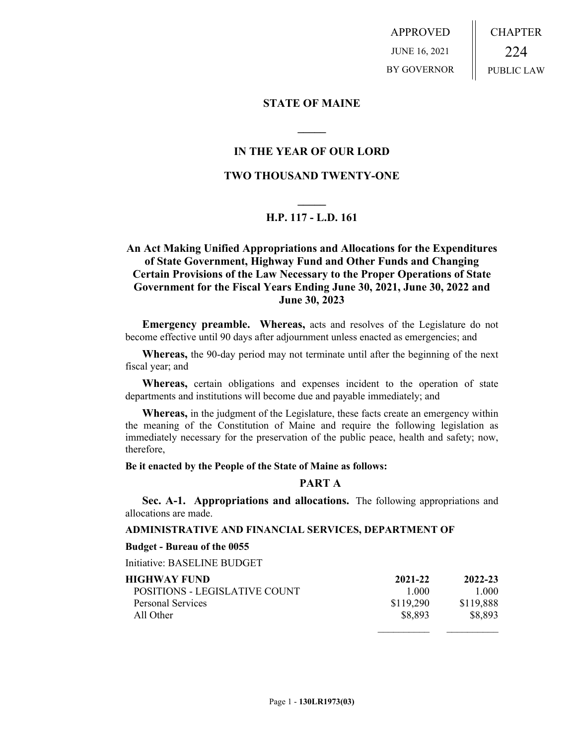APPROVED JUNE 16, 2021 BY GOVERNOR CHAPTER 224 PUBLIC LAW

## **STATE OF MAINE**

## **IN THE YEAR OF OUR LORD**

**\_\_\_\_\_**

## **TWO THOUSAND TWENTY-ONE**

# **\_\_\_\_\_ H.P. 117 - L.D. 161**

## **An Act Making Unified Appropriations and Allocations for the Expenditures of State Government, Highway Fund and Other Funds and Changing Certain Provisions of the Law Necessary to the Proper Operations of State Government for the Fiscal Years Ending June 30, 2021, June 30, 2022 and June 30, 2023**

**Emergency preamble. Whereas,** acts and resolves of the Legislature do not become effective until 90 days after adjournment unless enacted as emergencies; and

**Whereas,** the 90-day period may not terminate until after the beginning of the next fiscal year; and

**Whereas,** certain obligations and expenses incident to the operation of state departments and institutions will become due and payable immediately; and

**Whereas,** in the judgment of the Legislature, these facts create an emergency within the meaning of the Constitution of Maine and require the following legislation as immediately necessary for the preservation of the public peace, health and safety; now, therefore,

**Be it enacted by the People of the State of Maine as follows:**

## **PART A**

**Sec. A-1. Appropriations and allocations.** The following appropriations and allocations are made.

#### **ADMINISTRATIVE AND FINANCIAL SERVICES, DEPARTMENT OF**

#### **Budget - Bureau of the 0055**

Initiative: BASELINE BUDGET

| HIGHWAY FUND-                 | 2021-22   | 2022-23   |
|-------------------------------|-----------|-----------|
| POSITIONS - LEGISLATIVE COUNT | 1 000     | 1 000     |
| Personal Services             | \$119,290 | \$119,888 |
| All Other                     | \$8,893   | \$8,893   |
|                               |           |           |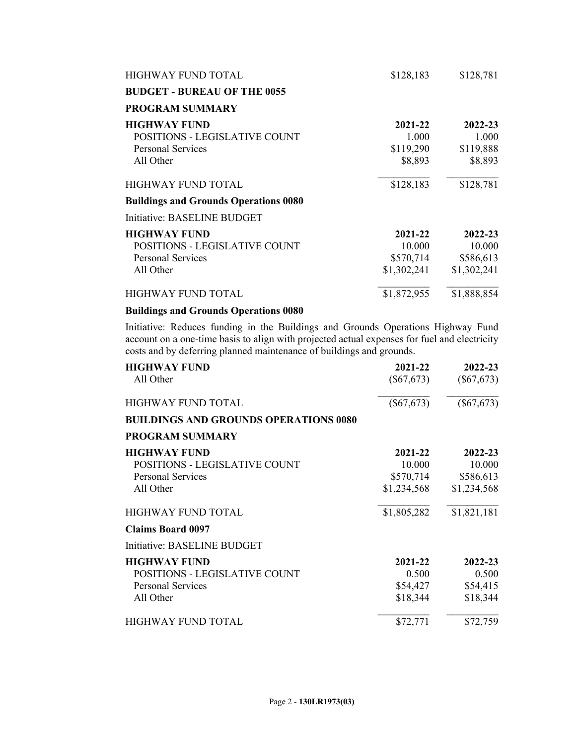| <b>HIGHWAY FUND TOTAL</b>                    | \$128,183   | \$128,781   |
|----------------------------------------------|-------------|-------------|
| <b>BUDGET - BUREAU OF THE 0055</b>           |             |             |
| <b>PROGRAM SUMMARY</b>                       |             |             |
| <b>HIGHWAY FUND</b>                          | 2021-22     | 2022-23     |
| POSITIONS - LEGISLATIVE COUNT                | 1.000       | 1.000       |
| <b>Personal Services</b>                     | \$119,290   | \$119,888   |
| All Other                                    | \$8,893     | \$8,893     |
| <b>HIGHWAY FUND TOTAL</b>                    | \$128,183   | \$128,781   |
| <b>Buildings and Grounds Operations 0080</b> |             |             |
| Initiative: BASELINE BUDGET                  |             |             |
| <b>HIGHWAY FUND</b>                          | 2021-22     | 2022-23     |
| POSITIONS - LEGISLATIVE COUNT                | 10.000      | 10.000      |
| <b>Personal Services</b>                     | \$570,714   | \$586,613   |
| All Other                                    | \$1,302,241 | \$1,302,241 |
| HIGHWAY FUND TOTAL                           | \$1,872,955 | \$1,888,854 |

## **Buildings and Grounds Operations 0080**

Initiative: Reduces funding in the Buildings and Grounds Operations Highway Fund account on a one-time basis to align with projected actual expenses for fuel and electricity costs and by deferring planned maintenance of buildings and grounds.

| <b>HIGHWAY FUND</b>                          | 2021-22      | 2022-23      |
|----------------------------------------------|--------------|--------------|
| All Other                                    | $(\$67,673)$ | $(\$67,673)$ |
| HIGHWAY FUND TOTAL                           | $(\$67,673)$ | $(\$67,673)$ |
| <b>BUILDINGS AND GROUNDS OPERATIONS 0080</b> |              |              |
| <b>PROGRAM SUMMARY</b>                       |              |              |
| <b>HIGHWAY FUND</b>                          | 2021-22      | 2022-23      |
| POSITIONS - LEGISLATIVE COUNT                | 10.000       | 10.000       |
| <b>Personal Services</b>                     | \$570,714    | \$586,613    |
| All Other                                    | \$1,234,568  | \$1,234,568  |
| <b>HIGHWAY FUND TOTAL</b>                    | \$1,805,282  | \$1,821,181  |
| <b>Claims Board 0097</b>                     |              |              |
| Initiative: BASELINE BUDGET                  |              |              |
| <b>HIGHWAY FUND</b>                          | 2021-22      | 2022-23      |
| POSITIONS - LEGISLATIVE COUNT                | 0.500        | 0.500        |
| <b>Personal Services</b>                     | \$54,427     | \$54,415     |
| All Other                                    | \$18,344     | \$18,344     |
| <b>HIGHWAY FUND TOTAL</b>                    | \$72,771     | \$72,759     |
|                                              |              |              |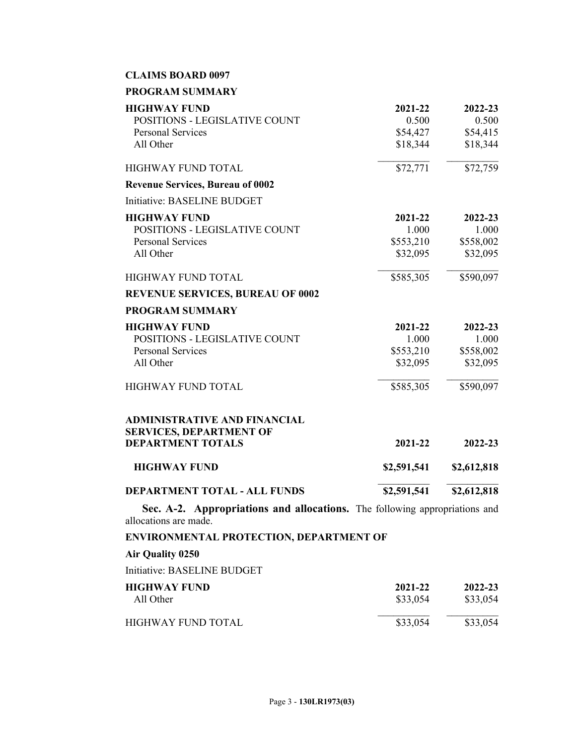## **CLAIMS BOARD 0097**

| PROGRAM SUMMARY |  |
|-----------------|--|
|-----------------|--|

| <b>HIGHWAY FUND</b>                                                   | 2021-22     | 2022-23     |
|-----------------------------------------------------------------------|-------------|-------------|
| POSITIONS - LEGISLATIVE COUNT                                         | 0.500       | 0.500       |
| <b>Personal Services</b>                                              | \$54,427    | \$54,415    |
| All Other                                                             | \$18,344    | \$18,344    |
| <b>HIGHWAY FUND TOTAL</b>                                             | \$72,771    | \$72,759    |
| <b>Revenue Services, Bureau of 0002</b>                               |             |             |
| Initiative: BASELINE BUDGET                                           |             |             |
| <b>HIGHWAY FUND</b>                                                   | 2021-22     | 2022-23     |
| POSITIONS - LEGISLATIVE COUNT                                         | 1.000       | 1.000       |
| <b>Personal Services</b>                                              | \$553,210   | \$558,002   |
| All Other                                                             | \$32,095    | \$32,095    |
| HIGHWAY FUND TOTAL                                                    | \$585,305   | \$590,097   |
| <b>REVENUE SERVICES, BUREAU OF 0002</b>                               |             |             |
| <b>PROGRAM SUMMARY</b>                                                |             |             |
| <b>HIGHWAY FUND</b>                                                   | 2021-22     | 2022-23     |
| <b>POSITIONS - LEGISLATIVE COUNT</b>                                  | 1.000       | 1.000       |
| <b>Personal Services</b>                                              | \$553,210   | \$558,002   |
| All Other                                                             | \$32,095    | \$32,095    |
| <b>HIGHWAY FUND TOTAL</b>                                             | \$585,305   | \$590,097   |
| <b>ADMINISTRATIVE AND FINANCIAL</b><br><b>SERVICES, DEPARTMENT OF</b> |             |             |
| <b>DEPARTMENT TOTALS</b>                                              | 2021-22     | 2022-23     |
| <b>HIGHWAY FUND</b>                                                   | \$2,591,541 | \$2,612,818 |
| <b>DEPARTMENT TOTAL - ALL FUNDS</b>                                   | \$2,591,541 | \$2,612,818 |

**Sec. A-2. Appropriations and allocations.** The following appropriations and allocations are made.

**ENVIRONMENTAL PROTECTION, DEPARTMENT OF**

| Air Quality 0250            |                     |                     |
|-----------------------------|---------------------|---------------------|
| Initiative: BASELINE BUDGET |                     |                     |
| HIGHWAY FUND<br>All Other   | 2021-22<br>\$33,054 | 2022-23<br>\$33,054 |
| HIGHWAY FUND TOTAL          | \$33,054            | \$33,054            |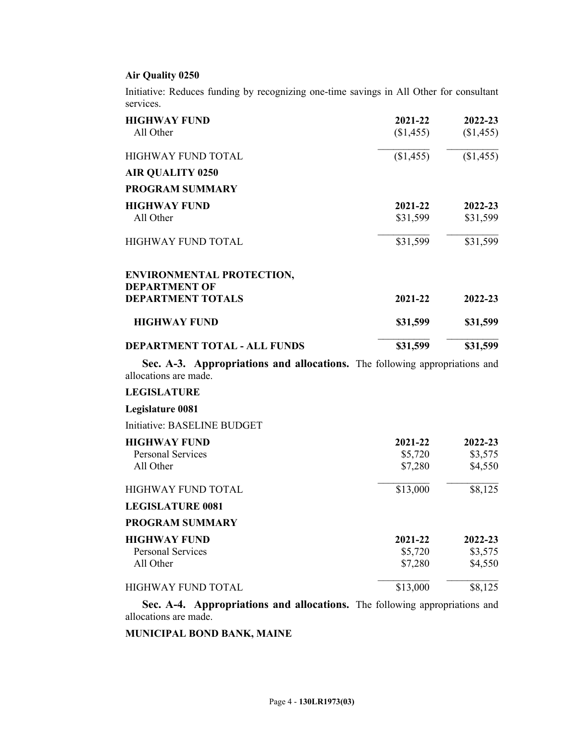## **Air Quality 0250**

Initiative: Reduces funding by recognizing one-time savings in All Other for consultant services.

| <b>HIGHWAY FUND</b>                                                                                 | 2021-22   | 2022-23   |
|-----------------------------------------------------------------------------------------------------|-----------|-----------|
| All Other                                                                                           | (\$1,455) | (\$1,455) |
| <b>HIGHWAY FUND TOTAL</b>                                                                           | (\$1,455) | (\$1,455) |
| <b>AIR QUALITY 0250</b>                                                                             |           |           |
| <b>PROGRAM SUMMARY</b>                                                                              |           |           |
| <b>HIGHWAY FUND</b>                                                                                 | 2021-22   | 2022-23   |
| All Other                                                                                           | \$31,599  | \$31,599  |
| <b>HIGHWAY FUND TOTAL</b>                                                                           | \$31,599  | \$31,599  |
| <b>ENVIRONMENTAL PROTECTION,</b>                                                                    |           |           |
| <b>DEPARTMENT OF</b>                                                                                |           |           |
| <b>DEPARTMENT TOTALS</b>                                                                            | 2021-22   | 2022-23   |
| <b>HIGHWAY FUND</b>                                                                                 | \$31,599  | \$31,599  |
| DEPARTMENT TOTAL - ALL FUNDS                                                                        | \$31,599  | \$31,599  |
| Sec. A-3. Appropriations and allocations. The following appropriations and<br>allocations are made. |           |           |
| <b>LEGISLATURE</b>                                                                                  |           |           |
| Legislature 0081                                                                                    |           |           |
| Initiative: BASELINE BUDGET                                                                         |           |           |
| <b>HIGHWAY FUND</b>                                                                                 |           |           |
|                                                                                                     | 2021-22   | 2022-23   |
| <b>Personal Services</b>                                                                            | \$5,720   | \$3,575   |
| All Other                                                                                           | \$7,280   | \$4,550   |
| HIGHWAY FUND TOTAL                                                                                  | \$13,000  | \$8,125   |
| <b>LEGISLATURE 0081</b>                                                                             |           |           |
| <b>PROGRAM SUMMARY</b>                                                                              |           |           |
| <b>HIGHWAY FUND</b>                                                                                 | 2021-22   | 2022-23   |
| <b>Personal Services</b>                                                                            | \$5,720   | \$3,575   |
| All Other                                                                                           | \$7,280   | \$4,550   |

**Sec. A-4. Appropriations and allocations.** The following appropriations and allocations are made.

**MUNICIPAL BOND BANK, MAINE**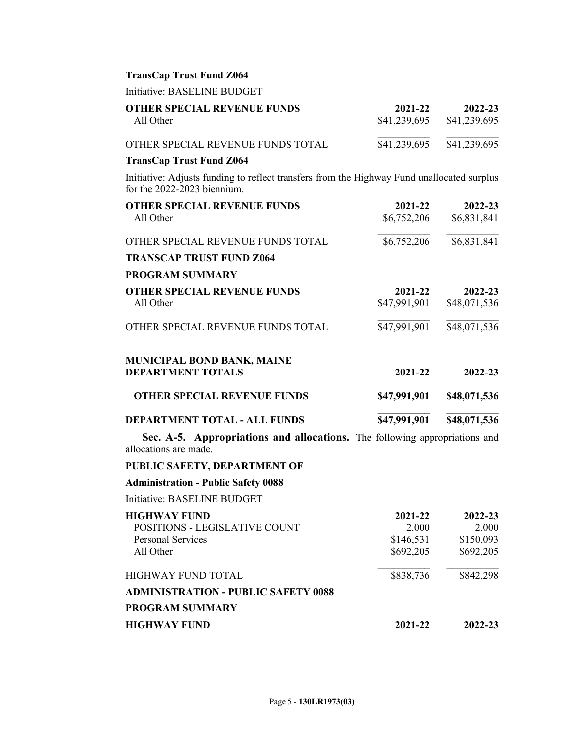## **TransCap Trust Fund Z064**

Initiative: BASELINE BUDGET

| <b>OTHER SPECIAL REVENUE FUNDS</b>                                                                                        | 2021-22                     | 2022-23                 |
|---------------------------------------------------------------------------------------------------------------------------|-----------------------------|-------------------------|
| All Other                                                                                                                 | \$41,239,695                | \$41,239,695            |
| OTHER SPECIAL REVENUE FUNDS TOTAL                                                                                         | \$41,239,695                | \$41,239,695            |
| <b>TransCap Trust Fund Z064</b>                                                                                           |                             |                         |
| Initiative: Adjusts funding to reflect transfers from the Highway Fund unallocated surplus<br>for the 2022-2023 biennium. |                             |                         |
| <b>OTHER SPECIAL REVENUE FUNDS</b><br>All Other                                                                           | 2021-22<br>\$6,752,206      | 2022-23<br>\$6,831,841  |
| OTHER SPECIAL REVENUE FUNDS TOTAL                                                                                         | \$6,752,206                 | \$6,831,841             |
| <b>TRANSCAP TRUST FUND Z064</b>                                                                                           |                             |                         |
| <b>PROGRAM SUMMARY</b>                                                                                                    |                             |                         |
| <b>OTHER SPECIAL REVENUE FUNDS</b><br>All Other                                                                           | $2021 - 22$<br>\$47,991,901 | 2022-23<br>\$48,071,536 |
| OTHER SPECIAL REVENUE FUNDS TOTAL                                                                                         | \$47,991,901                | \$48,071,536            |
| <b>MUNICIPAL BOND BANK, MAINE</b><br><b>DEPARTMENT TOTALS</b>                                                             | 2021-22                     | 2022-23                 |
| <b>OTHER SPECIAL REVENUE FUNDS</b>                                                                                        | \$47,991,901                | \$48,071,536            |
| DEPARTMENT TOTAL - ALL FUNDS                                                                                              | \$47,991,901                | \$48,071,536            |
| Sec. A-5. Appropriations and allocations. The following appropriations and<br>allocations are made.                       |                             |                         |
| PUBLIC SAFETY, DEPARTMENT OF                                                                                              |                             |                         |
| <b>Administration - Public Safety 0088</b>                                                                                |                             |                         |
| Initiative: BASELINE BUDGET                                                                                               |                             |                         |
| <b>HIGHWAY FUND</b><br>POSITIONS - LEGISLATIVE COUNT                                                                      | 2021-22<br>2.000            | 2022-23<br>2.000        |
| <b>Personal Services</b>                                                                                                  | \$146,531                   | \$150,093               |
| All Other                                                                                                                 | \$692,205                   | \$692,205               |
| <b>HIGHWAY FUND TOTAL</b>                                                                                                 | \$838,736                   | \$842,298               |
| <b>ADMINISTRATION - PUBLIC SAFETY 0088</b>                                                                                |                             |                         |
| <b>PROGRAM SUMMARY</b>                                                                                                    |                             |                         |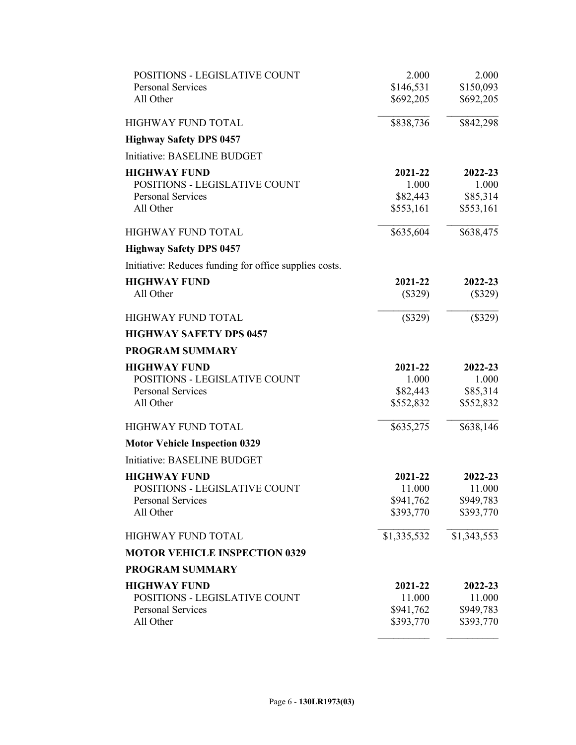| POSITIONS - LEGISLATIVE COUNT                          | 2.000       | 2.000       |
|--------------------------------------------------------|-------------|-------------|
| <b>Personal Services</b>                               | \$146,531   | \$150,093   |
| All Other                                              | \$692,205   | \$692,205   |
| <b>HIGHWAY FUND TOTAL</b>                              | \$838,736   | \$842,298   |
| <b>Highway Safety DPS 0457</b>                         |             |             |
| Initiative: BASELINE BUDGET                            |             |             |
| <b>HIGHWAY FUND</b>                                    | 2021-22     | 2022-23     |
| POSITIONS - LEGISLATIVE COUNT                          | 1.000       | 1.000       |
| <b>Personal Services</b>                               | \$82,443    | \$85,314    |
| All Other                                              | \$553,161   | \$553,161   |
| <b>HIGHWAY FUND TOTAL</b>                              | \$635,604   | \$638,475   |
| <b>Highway Safety DPS 0457</b>                         |             |             |
| Initiative: Reduces funding for office supplies costs. |             |             |
| <b>HIGHWAY FUND</b>                                    | 2021-22     | 2022-23     |
| All Other                                              | $(\$329)$   | $(\$329)$   |
| HIGHWAY FUND TOTAL                                     | (\$329)     | (\$329)     |
| <b>HIGHWAY SAFETY DPS 0457</b>                         |             |             |
| <b>PROGRAM SUMMARY</b>                                 |             |             |
| <b>HIGHWAY FUND</b>                                    | 2021-22     | 2022-23     |
| POSITIONS - LEGISLATIVE COUNT                          | 1.000       | 1.000       |
| <b>Personal Services</b>                               | \$82,443    | \$85,314    |
| All Other                                              | \$552,832   | \$552,832   |
| HIGHWAY FUND TOTAL                                     | \$635,275   | \$638,146   |
| <b>Motor Vehicle Inspection 0329</b>                   |             |             |
| Initiative: BASELINE BUDGET                            |             |             |
| <b>HIGHWAY FUND</b>                                    | 2021-22     | 2022-23     |
| POSITIONS - LEGISLATIVE COUNT                          | 11.000      | 11.000      |
| Personal Services                                      | \$941,762   | \$949,783   |
| All Other                                              | \$393,770   | \$393,770   |
| HIGHWAY FUND TOTAL                                     | \$1,335,532 | \$1,343,553 |
| <b>MOTOR VEHICLE INSPECTION 0329</b>                   |             |             |
| <b>PROGRAM SUMMARY</b>                                 |             |             |
| <b>HIGHWAY FUND</b>                                    | 2021-22     | 2022-23     |
| POSITIONS - LEGISLATIVE COUNT                          | 11.000      | 11.000      |
| <b>Personal Services</b>                               | \$941,762   | \$949,783   |
| All Other                                              | \$393,770   | \$393,770   |
|                                                        |             |             |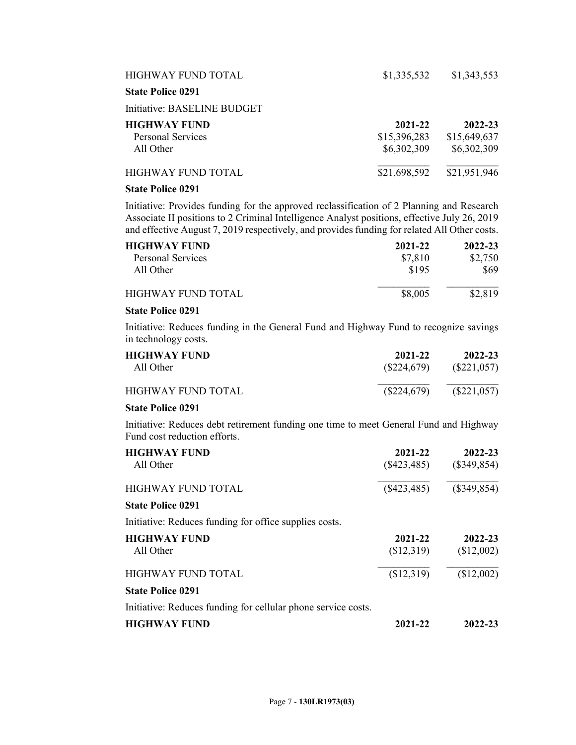| HIGHWAY FUND TOTAL          | \$1,335,532  | \$1,343,553  |
|-----------------------------|--------------|--------------|
| <b>State Police 0291</b>    |              |              |
| Initiative: BASELINE BUDGET |              |              |
| <b>HIGHWAY FUND</b>         | 2021-22      | 2022-23      |
| Personal Services           | \$15,396,283 | \$15,649,637 |
| All Other                   | \$6,302,309  | \$6,302,309  |
| HIGHWAY FUND TOTAL          | \$21,698,592 | \$21,951,946 |
| <b>State Police 0291</b>    |              |              |

Initiative: Provides funding for the approved reclassification of 2 Planning and Research Associate II positions to 2 Criminal Intelligence Analyst positions, effective July 26, 2019 and effective August 7, 2019 respectively, and provides funding for related All Other costs.

| <b>HIGHWAY FUND</b> | 2021-22 | 2022-23 |
|---------------------|---------|---------|
| Personal Services   | \$7,810 | \$2,750 |
| All Other           | \$195   | \$69    |
| HIGHWAY FUND TOTAL  | \$8,005 | \$2,819 |

## **State Police 0291**

Initiative: Reduces funding in the General Fund and Highway Fund to recognize savings in technology costs.

| <b>HIGHWAY FUND</b> | 2021-22       | 2022-23       |
|---------------------|---------------|---------------|
| All Other           | $(\$224,679)$ | $(\$221,057)$ |
| HIGHWAY FUND TOTAL  | $(\$224,679)$ | $(\$221,057)$ |

## **State Police 0291**

Initiative: Reduces debt retirement funding one time to meet General Fund and Highway Fund cost reduction efforts.

| <b>HIGHWAY FUND</b><br>All Other                              | 2021-22<br>$(\$423,485)$ | 2022-23<br>$(\$349,854)$ |
|---------------------------------------------------------------|--------------------------|--------------------------|
| <b>HIGHWAY FUND TOTAL</b>                                     | $(\$423,485)$            | $(\$349,854)$            |
| <b>State Police 0291</b>                                      |                          |                          |
| Initiative: Reduces funding for office supplies costs.        |                          |                          |
| <b>HIGHWAY FUND</b>                                           | 2021-22                  | 2022-23                  |
| All Other                                                     | (\$12,319)               | (\$12,002)               |
| <b>HIGHWAY FUND TOTAL</b>                                     | \$12,319                 | (\$12,002)               |
| <b>State Police 0291</b>                                      |                          |                          |
| Initiative: Reduces funding for cellular phone service costs. |                          |                          |
| <b>HIGHWAY FUND</b>                                           | 2021-22                  | 2022-23                  |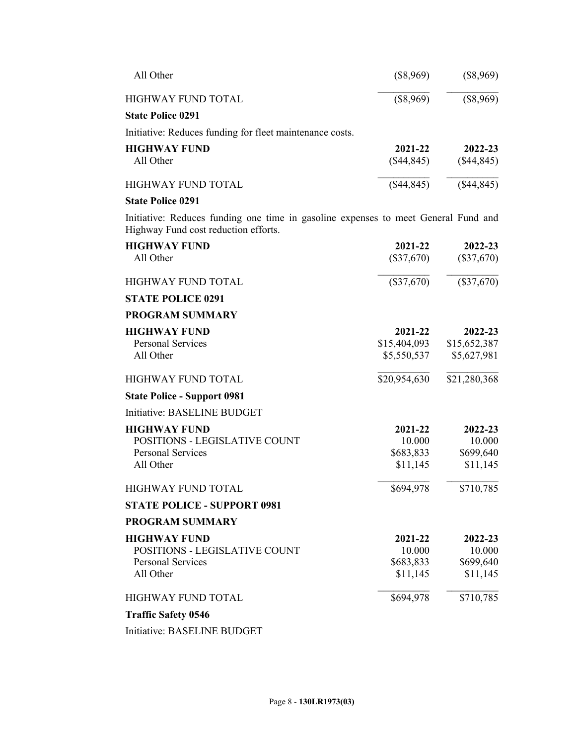| All Other                                                | $(\$8,969)$           | $(\$8,969)$             |
|----------------------------------------------------------|-----------------------|-------------------------|
| HIGHWAY FUND TOTAL                                       | (\$8,969)             | $(\$8,969)$             |
| <b>State Police 0291</b>                                 |                       |                         |
| Initiative: Reduces funding for fleet maintenance costs. |                       |                         |
| <b>HIGHWAY FUND</b><br>All Other                         | 2021-22<br>(\$44,845) | 2022-23<br>$(\$44,845)$ |
| <b>HIGHWAY FUND TOTAL</b>                                | $(\$44,845)$          | (\$44,845)              |
| <b>State Police 0291</b>                                 |                       |                         |

Initiative: Reduces funding one time in gasoline expenses to meet General Fund and Highway Fund cost reduction efforts.

| <b>HIGHWAY FUND</b><br>All Other     | 2021-22<br>$(\$37,670)$ | 2022-23<br>$(\$37,670)$ |
|--------------------------------------|-------------------------|-------------------------|
| <b>HIGHWAY FUND TOTAL</b>            | $(\$37,670)$            | $(\$37,670)$            |
| <b>STATE POLICE 0291</b>             |                         |                         |
| <b>PROGRAM SUMMARY</b>               |                         |                         |
| <b>HIGHWAY FUND</b>                  | 2021-22                 | 2022-23                 |
| <b>Personal Services</b>             | \$15,404,093            | \$15,652,387            |
| All Other                            | \$5,550,537             | \$5,627,981             |
| <b>HIGHWAY FUND TOTAL</b>            | \$20,954,630            | \$21,280,368            |
| <b>State Police - Support 0981</b>   |                         |                         |
| Initiative: BASELINE BUDGET          |                         |                         |
| <b>HIGHWAY FUND</b>                  | 2021-22                 | 2022-23                 |
| POSITIONS - LEGISLATIVE COUNT        | 10.000                  | 10.000                  |
| <b>Personal Services</b>             | \$683,833               | \$699,640               |
| All Other                            | \$11,145                | \$11,145                |
| <b>HIGHWAY FUND TOTAL</b>            | \$694,978               | \$710,785               |
| <b>STATE POLICE - SUPPORT 0981</b>   |                         |                         |
| <b>PROGRAM SUMMARY</b>               |                         |                         |
| <b>HIGHWAY FUND</b>                  | 2021-22                 | 2022-23                 |
| <b>POSITIONS - LEGISLATIVE COUNT</b> | 10.000                  | 10.000                  |
| <b>Personal Services</b>             | \$683,833               | \$699,640               |
| All Other                            | \$11,145                | \$11,145                |
| HIGHWAY FUND TOTAL                   | \$694,978               | \$710,785               |
| <b>Traffic Safety 0546</b>           |                         |                         |

Initiative: BASELINE BUDGET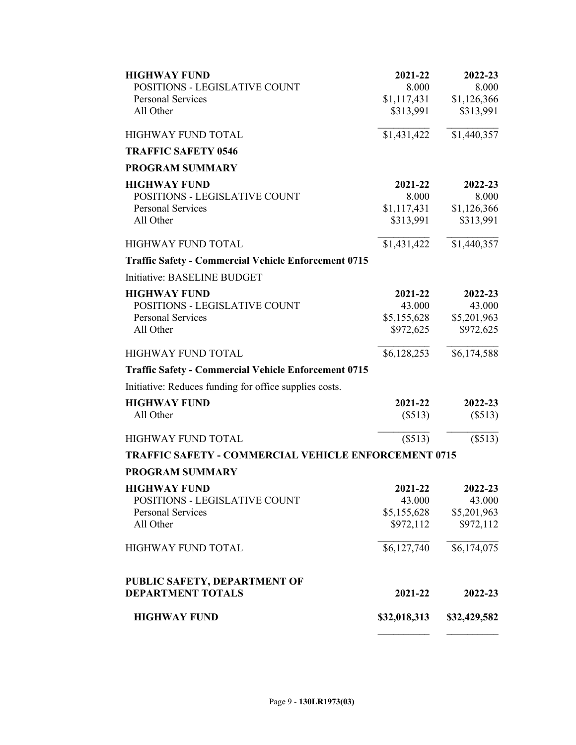| <b>HIGHWAY FUND</b>                                         | 2021-22      | 2022-23      |
|-------------------------------------------------------------|--------------|--------------|
| POSITIONS - LEGISLATIVE COUNT                               | 8.000        | 8.000        |
| <b>Personal Services</b>                                    | \$1,117,431  | \$1,126,366  |
| All Other                                                   | \$313,991    | \$313,991    |
| HIGHWAY FUND TOTAL                                          | \$1,431,422  | \$1,440,357  |
| <b>TRAFFIC SAFETY 0546</b>                                  |              |              |
| <b>PROGRAM SUMMARY</b>                                      |              |              |
| <b>HIGHWAY FUND</b>                                         | 2021-22      | 2022-23      |
| POSITIONS - LEGISLATIVE COUNT                               | 8.000        | 8.000        |
| <b>Personal Services</b>                                    | \$1,117,431  | \$1,126,366  |
| All Other                                                   | \$313,991    | \$313,991    |
| <b>HIGHWAY FUND TOTAL</b>                                   | \$1,431,422  | \$1,440,357  |
| <b>Traffic Safety - Commercial Vehicle Enforcement 0715</b> |              |              |
| Initiative: BASELINE BUDGET                                 |              |              |
| <b>HIGHWAY FUND</b>                                         | 2021-22      | 2022-23      |
| POSITIONS - LEGISLATIVE COUNT                               | 43.000       | 43.000       |
| <b>Personal Services</b>                                    | \$5,155,628  | \$5,201,963  |
| All Other                                                   | \$972,625    | \$972,625    |
| HIGHWAY FUND TOTAL                                          | \$6,128,253  | \$6,174,588  |
| <b>Traffic Safety - Commercial Vehicle Enforcement 0715</b> |              |              |
| Initiative: Reduces funding for office supplies costs.      |              |              |
| <b>HIGHWAY FUND</b>                                         | 2021-22      | 2022-23      |
| All Other                                                   | (\$513)      | (\$513)      |
| <b>HIGHWAY FUND TOTAL</b>                                   | (\$513)      | (\$513)      |
| <b>TRAFFIC SAFETY - COMMERCIAL VEHICLE ENFORCEMENT 0715</b> |              |              |
| <b>PROGRAM SUMMARY</b>                                      |              |              |
| <b>HIGHWAY FUND</b>                                         | 2021-22      | 2022-23      |
| POSITIONS - LEGISLATIVE COUNT                               | 43.000       | 43.000       |
| <b>Personal Services</b>                                    | \$5,155,628  | \$5,201,963  |
| All Other                                                   | \$972,112    | \$972,112    |
| HIGHWAY FUND TOTAL                                          | \$6,127,740  | \$6,174,075  |
| PUBLIC SAFETY, DEPARTMENT OF                                |              |              |
| <b>DEPARTMENT TOTALS</b>                                    | 2021-22      | 2022-23      |
| <b>HIGHWAY FUND</b>                                         | \$32,018,313 | \$32,429,582 |
|                                                             |              |              |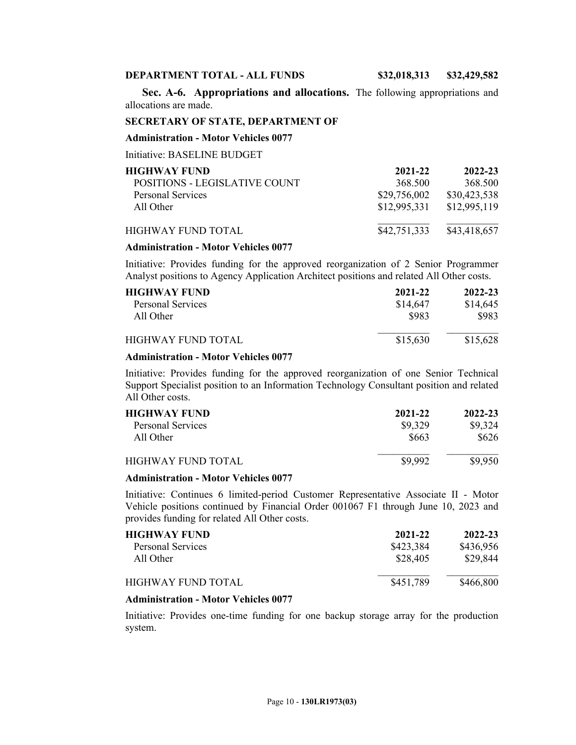#### **DEPARTMENT TOTAL - ALL FUNDS \$32,018,313 \$32,429,582**

**Sec. A-6. Appropriations and allocations.** The following appropriations and allocations are made.

#### **SECRETARY OF STATE, DEPARTMENT OF**

#### **Administration - Motor Vehicles 0077**

Initiative: BASELINE BUDGET

| <b>HIGHWAY FUND</b>           | 2021-22      | 2022-23      |
|-------------------------------|--------------|--------------|
| POSITIONS - LEGISLATIVE COUNT | 368.500      | 368.500      |
| <b>Personal Services</b>      | \$29,756,002 | \$30,423,538 |
| All Other                     | \$12,995,331 | \$12,995,119 |
| HIGHWAY FUND TOTAL            | \$42,751,333 | \$43,418,657 |

#### **Administration - Motor Vehicles 0077**

Initiative: Provides funding for the approved reorganization of 2 Senior Programmer Analyst positions to Agency Application Architect positions and related All Other costs.

| <b>HIGHWAY FUND</b><br>Personal Services | 2021-22<br>\$14,647 | 2022-23<br>\$14,645 |
|------------------------------------------|---------------------|---------------------|
| All Other                                | \$983               | \$983               |
| HIGHWAY FUND TOTAL                       | \$15,630            | \$15,628            |

### **Administration - Motor Vehicles 0077**

Initiative: Provides funding for the approved reorganization of one Senior Technical Support Specialist position to an Information Technology Consultant position and related All Other costs.

| <b>HIGHWAY FUND</b> | 2021-22 | 2022-23 |
|---------------------|---------|---------|
| Personal Services   | \$9,329 | \$9,324 |
| All Other           | \$663   | \$626   |
| HIGHWAY FUND TOTAL  | \$9,992 | \$9,950 |

### **Administration - Motor Vehicles 0077**

Initiative: Continues 6 limited-period Customer Representative Associate II - Motor Vehicle positions continued by Financial Order 001067 F1 through June 10, 2023 and provides funding for related All Other costs.

| <b>HIGHWAY FUND</b> | 2021-22   | 2022-23   |
|---------------------|-----------|-----------|
| Personal Services   | \$423,384 | \$436,956 |
| All Other           | \$28,405  | \$29,844  |
| HIGHWAY FUND TOTAL  | \$451,789 | \$466,800 |

#### **Administration - Motor Vehicles 0077**

Initiative: Provides one-time funding for one backup storage array for the production system.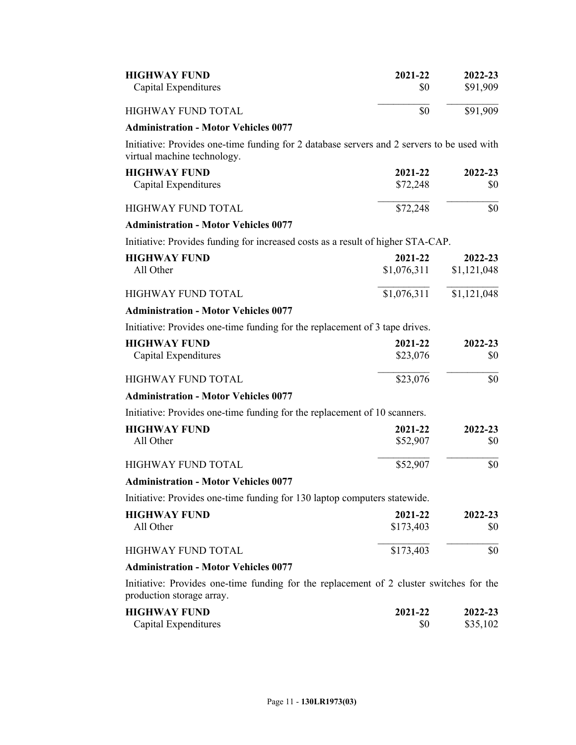| <b>HIGHWAY FUND</b><br>Capital Expenditures                                                                               | 2021-22<br>\$0         | 2022-23<br>\$91,909    |
|---------------------------------------------------------------------------------------------------------------------------|------------------------|------------------------|
| HIGHWAY FUND TOTAL                                                                                                        | \$0                    | \$91,909               |
| <b>Administration - Motor Vehicles 0077</b>                                                                               |                        |                        |
| Initiative: Provides one-time funding for 2 database servers and 2 servers to be used with<br>virtual machine technology. |                        |                        |
| <b>HIGHWAY FUND</b>                                                                                                       | 2021-22                | 2022-23                |
| Capital Expenditures                                                                                                      | \$72,248               | \$0                    |
| <b>HIGHWAY FUND TOTAL</b>                                                                                                 | \$72,248               | \$0                    |
| <b>Administration - Motor Vehicles 0077</b>                                                                               |                        |                        |
| Initiative: Provides funding for increased costs as a result of higher STA-CAP.                                           |                        |                        |
| <b>HIGHWAY FUND</b><br>All Other                                                                                          | 2021-22<br>\$1,076,311 | 2022-23<br>\$1,121,048 |
| <b>HIGHWAY FUND TOTAL</b>                                                                                                 | \$1,076,311            | \$1,121,048            |
| <b>Administration - Motor Vehicles 0077</b>                                                                               |                        |                        |
| Initiative: Provides one-time funding for the replacement of 3 tape drives.                                               |                        |                        |
| <b>HIGHWAY FUND</b>                                                                                                       | 2021-22                | 2022-23                |
| Capital Expenditures                                                                                                      | \$23,076               | \$0                    |
| HIGHWAY FUND TOTAL                                                                                                        | \$23,076               | \$0                    |
| <b>Administration - Motor Vehicles 0077</b>                                                                               |                        |                        |
| Initiative: Provides one-time funding for the replacement of 10 scanners.                                                 |                        |                        |
| <b>HIGHWAY FUND</b>                                                                                                       | 2021-22                | 2022-23                |
| All Other                                                                                                                 | \$52,907               | \$0                    |
| <b>HIGHWAY FUND TOTAL</b>                                                                                                 | \$52,907               | \$0                    |
| <b>Administration - Motor Vehicles 0077</b>                                                                               |                        |                        |
| Initiative: Provides one-time funding for 130 laptop computers statewide.                                                 |                        |                        |
| <b>HIGHWAY FUND</b>                                                                                                       | 2021-22                | 2022-23                |
| All Other                                                                                                                 | \$173,403              | \$0                    |
| <b>HIGHWAY FUND TOTAL</b>                                                                                                 | \$173,403              | \$0                    |
| <b>Administration - Motor Vehicles 0077</b>                                                                               |                        |                        |
| Initiative: Provides one-time funding for the replacement of 2 cluster switches for the<br>production storage array.      |                        |                        |
| <b>HIGHWAY FUND</b>                                                                                                       | $2021 - 22$            | $2022 - 23$            |

| <b>HIGHWAY FUND</b>  | 2021-22 | 2022-23  |
|----------------------|---------|----------|
| Capital Expenditures |         | \$35,102 |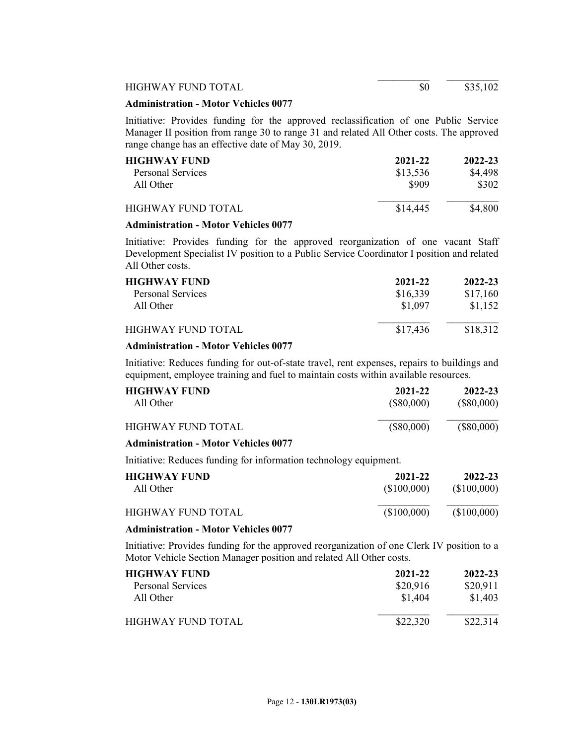HIGHWAY FUND TOTAL \$0 \$35,102

### **Administration - Motor Vehicles 0077**

Initiative: Provides funding for the approved reclassification of one Public Service Manager II position from range 30 to range 31 and related All Other costs. The approved range change has an effective date of May 30, 2019.

| <b>HIGHWAY FUND</b>       | 2021-22  | 2022-23 |
|---------------------------|----------|---------|
| Personal Services         | \$13,536 | \$4,498 |
| All Other                 | \$909    | \$302   |
| <b>HIGHWAY FUND TOTAL</b> | \$14,445 | \$4,800 |

## **Administration - Motor Vehicles 0077**

Initiative: Provides funding for the approved reorganization of one vacant Staff Development Specialist IV position to a Public Service Coordinator I position and related All Other costs.

| <b>HIGHWAY FUND</b> | 2021-22  | 2022-23  |
|---------------------|----------|----------|
| Personal Services   | \$16,339 | \$17,160 |
| All Other           | \$1 097  | \$1,152  |
| HIGHWAY FUND TOTAL  | \$17,436 | \$18,312 |

## **Administration - Motor Vehicles 0077**

Initiative: Reduces funding for out-of-state travel, rent expenses, repairs to buildings and equipment, employee training and fuel to maintain costs within available resources.

| <b>HIGHWAY FUND</b><br>All Other            | 2021-22<br>(S80,000) | 2022-23<br>$(\$80,000)$ |
|---------------------------------------------|----------------------|-------------------------|
| HIGHWAY FUND TOTAL                          | $(\$80,000)$         | $(\$80,000)$            |
| <b>Administration - Motor Vehicles 0077</b> |                      |                         |

Initiative: Reduces funding for information technology equipment.

| HIGHWAY FUND-      | 2021-22     | 2022-23     |
|--------------------|-------------|-------------|
| All Other          | (\$100,000) | (\$100,000) |
| HIGHWAY FUND TOTAL | (\$100,000) | (\$100,000) |

#### **Administration - Motor Vehicles 0077**

Initiative: Provides funding for the approved reorganization of one Clerk IV position to a Motor Vehicle Section Manager position and related All Other costs.

| <b>HIGHWAY FUND</b> | 2021-22  | 2022-23  |
|---------------------|----------|----------|
| Personal Services   | \$20,916 | \$20,911 |
| All Other           | \$1,404  | \$1,403  |
| HIGHWAY FUND TOTAL  | \$22,320 | \$22,314 |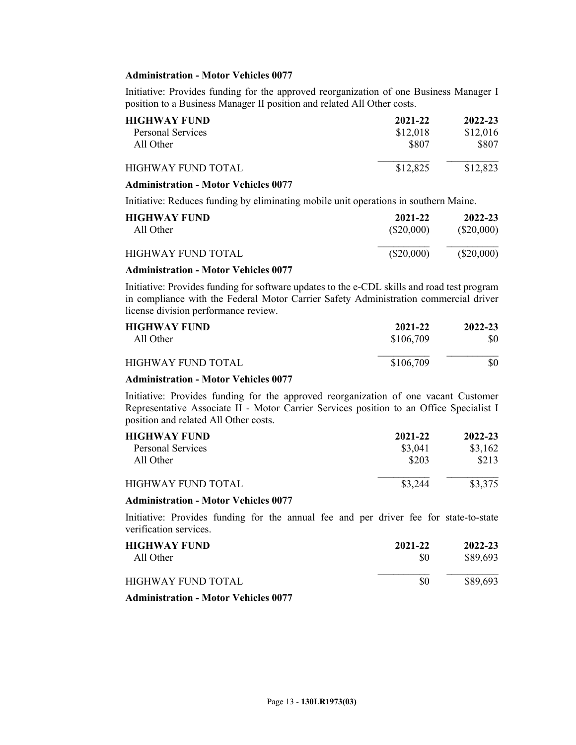## **Administration - Motor Vehicles 0077**

Initiative: Provides funding for the approved reorganization of one Business Manager I position to a Business Manager II position and related All Other costs.

| HIGHWAY FUND-            | 2021-22  | 2022-23  |
|--------------------------|----------|----------|
| <b>Personal Services</b> | \$12,018 | \$12,016 |
| All Other                | \$807    | \$807    |
| HIGHWAY FUND TOTAL       | \$12,825 | \$12,823 |
| ^^==                     |          |          |

### **Administration - Motor Vehicles 0077**

Initiative: Reduces funding by eliminating mobile unit operations in southern Maine.

| <b>HIGHWAY FUND</b> | 2021-22      | 2022-23      |
|---------------------|--------------|--------------|
| All Other           | (\$20,000)   | $(\$20,000)$ |
| HIGHWAY FUND TOTAL  | $(\$20,000)$ | $(\$20,000)$ |

## **Administration - Motor Vehicles 0077**

Initiative: Provides funding for software updates to the e-CDL skills and road test program in compliance with the Federal Motor Carrier Safety Administration commercial driver license division performance review.

| <b>HIGHWAY FUND</b> | 2021-22   | 2022-23 |
|---------------------|-----------|---------|
| All Other           | \$106,709 | \$0     |
| HIGHWAY FUND TOTAL  | \$106,709 | \$0     |

#### **Administration - Motor Vehicles 0077**

Initiative: Provides funding for the approved reorganization of one vacant Customer Representative Associate II - Motor Carrier Services position to an Office Specialist I position and related All Other costs.

| <b>HIGHWAY FUND</b> | 2021-22 | 2022-23 |
|---------------------|---------|---------|
| Personal Services   | \$3,041 | \$3,162 |
| All Other           | \$203   | \$213   |
| HIGHWAY FUND TOTAL  | \$3.244 | \$3,375 |

#### **Administration - Motor Vehicles 0077**

Initiative: Provides funding for the annual fee and per driver fee for state-to-state verification services.

| <b>HIGHWAY FUND</b><br>All Other       | 2021-22<br>\$0 | 2022-23<br>\$89,693 |
|----------------------------------------|----------------|---------------------|
| HIGHWAY FUND TOTAL                     | \$0            | \$89,693            |
| $\lambda$ i $\lambda$ i after the cost |                |                     |

**Administration - Motor Vehicles 0077**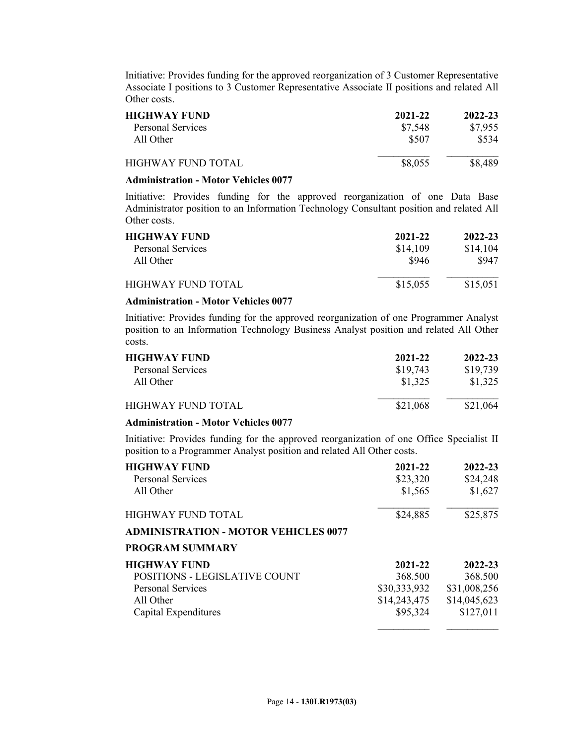Initiative: Provides funding for the approved reorganization of 3 Customer Representative Associate I positions to 3 Customer Representative Associate II positions and related All Other costs.

| <b>HIGHWAY FUND</b> | 2021-22 | 2022-23 |
|---------------------|---------|---------|
| Personal Services   | \$7,548 | \$7,955 |
| All Other           | \$507   | \$534   |
| HIGHWAY FUND TOTAL  | \$8,055 | \$8,489 |

#### **Administration - Motor Vehicles 0077**

Initiative: Provides funding for the approved reorganization of one Data Base Administrator position to an Information Technology Consultant position and related All Other costs.

| <b>HIGHWAY FUND</b>      | 2021-22  | 2022-23  |
|--------------------------|----------|----------|
| <b>Personal Services</b> | \$14,109 | \$14,104 |
| All Other                | \$946    | \$947    |
| HIGHWAY FUND TOTAL       | \$15,055 | \$15,051 |

## **Administration - Motor Vehicles 0077**

Initiative: Provides funding for the approved reorganization of one Programmer Analyst position to an Information Technology Business Analyst position and related All Other costs.

| <b>HIGHWAY FUND</b>       | 2021-22  | 2022-23  |
|---------------------------|----------|----------|
| <b>Personal Services</b>  | \$19,743 | \$19,739 |
| All Other                 | \$1,325  | \$1,325  |
| <b>HIGHWAY FUND TOTAL</b> | \$21,068 | \$21,064 |
|                           |          |          |

### **Administration - Motor Vehicles 0077**

Initiative: Provides funding for the approved reorganization of one Office Specialist II position to a Programmer Analyst position and related All Other costs.

| <b>HIGHWAY FUND</b><br><b>Personal Services</b><br>All Other | 2021-22<br>\$23,320<br>\$1,565 | 2022-23<br>\$24,248<br>\$1,627 |
|--------------------------------------------------------------|--------------------------------|--------------------------------|
| <b>HIGHWAY FUND TOTAL</b>                                    | \$24,885                       | \$25,875                       |
| <b>ADMINISTRATION - MOTOR VEHICLES 0077</b>                  |                                |                                |
| <b>PROGRAM SUMMARY</b>                                       |                                |                                |
| <b>HIGHWAY FUND</b>                                          | 2021-22                        | 2022-23                        |
| POSITIONS - LEGISLATIVE COUNT                                | 368.500                        | 368.500                        |
| <b>Personal Services</b>                                     | \$30,333,932                   | \$31,008,256                   |
| All Other                                                    | \$14,243,475                   | \$14,045,623                   |
| Capital Expenditures                                         | \$95,324                       | \$127,011                      |
|                                                              |                                |                                |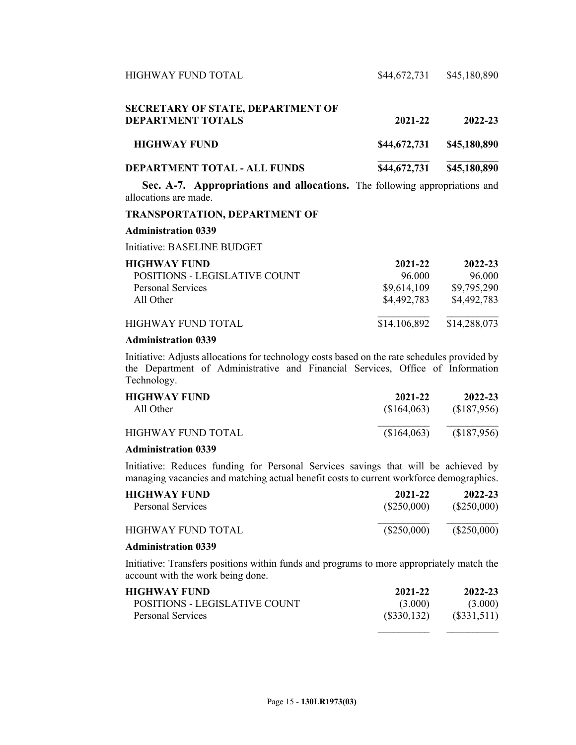| HIGHWAY FUND TOTAL                  | \$44,672,731 | \$45,180,890 |
|-------------------------------------|--------------|--------------|
| SECRETARY OF STATE, DEPARTMENT OF   |              |              |
| <b>DEPARTMENT TOTALS</b>            | 2021-22      | 2022-23      |
| <b>HIGHWAY FUND</b>                 | \$44,672,731 | \$45,180,890 |
| <b>DEPARTMENT TOTAL - ALL FUNDS</b> | \$44,672,731 | \$45,180,890 |
|                                     |              |              |

**Sec. A-7. Appropriations and allocations.** The following appropriations and allocations are made.

## **TRANSPORTATION, DEPARTMENT OF**

#### **Administration 0339**

Initiative: BASELINE BUDGET

| <b>HIGHWAY FUND</b>           | 2021-22      | 2022-23      |
|-------------------------------|--------------|--------------|
| POSITIONS - LEGISLATIVE COUNT | 96.000       | 96.000       |
| <b>Personal Services</b>      | \$9,614,109  | \$9,795,290  |
| All Other                     | \$4,492,783  | \$4,492,783  |
| HIGHWAY FUND TOTAL            | \$14,106,892 | \$14,288,073 |

#### **Administration 0339**

Initiative: Adjusts allocations for technology costs based on the rate schedules provided by the Department of Administrative and Financial Services, Office of Information Technology.

| <b>HIGHWAY FUND</b> | 2021-22     | 2022-23     |
|---------------------|-------------|-------------|
| All Other           | (S164,063)  | (\$187,956) |
| HIGHWAY FUND TOTAL  | (\$164,063) | (\$187,956) |

## **Administration 0339**

Initiative: Reduces funding for Personal Services savings that will be achieved by managing vacancies and matching actual benefit costs to current workforce demographics.

| <b>HIGHWAY FUND</b> | 2021-22       | 2022-23       |
|---------------------|---------------|---------------|
| Personal Services   | $(\$250,000)$ | $(\$250,000)$ |
| HIGHWAY FUND TOTAL  | $(\$250,000)$ | $(\$250,000)$ |

## **Administration 0339**

Initiative: Transfers positions within funds and programs to more appropriately match the account with the work being done.

| <b>HIGHWAY FUND</b>           | 2021-22       | 2022-23       |
|-------------------------------|---------------|---------------|
| POSITIONS - LEGISLATIVE COUNT | (3.000)       | (3.000)       |
| Personal Services             | $(\$330,132)$ | $(\$331,511)$ |

 $\frac{1}{2}$  ,  $\frac{1}{2}$  ,  $\frac{1}{2}$  ,  $\frac{1}{2}$  ,  $\frac{1}{2}$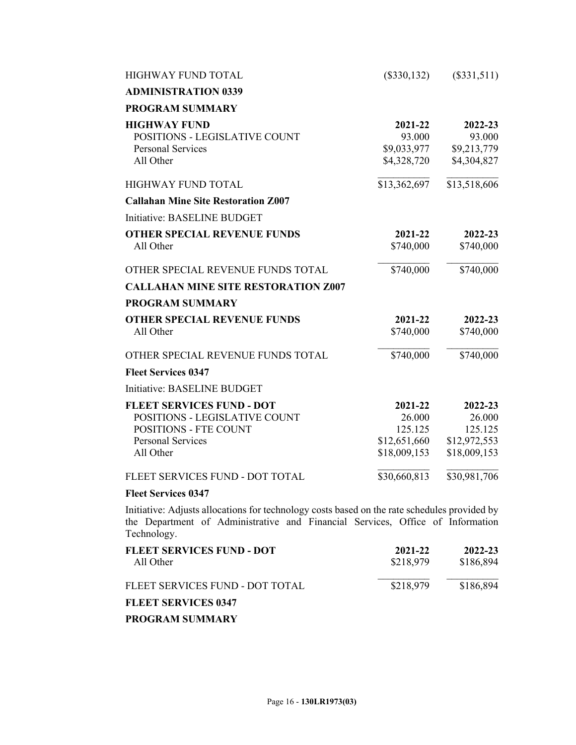| <b>HIGHWAY FUND TOTAL</b>                                                                                                           | $(\$330,132)$                                                | (\$331,511)                                                  |
|-------------------------------------------------------------------------------------------------------------------------------------|--------------------------------------------------------------|--------------------------------------------------------------|
| <b>ADMINISTRATION 0339</b>                                                                                                          |                                                              |                                                              |
| <b>PROGRAM SUMMARY</b>                                                                                                              |                                                              |                                                              |
| <b>HIGHWAY FUND</b><br>POSITIONS - LEGISLATIVE COUNT<br><b>Personal Services</b><br>All Other                                       | 2021-22<br>93.000<br>\$9,033,977<br>\$4,328,720              | 2022-23<br>93.000<br>\$9,213,779<br>\$4,304,827              |
| <b>HIGHWAY FUND TOTAL</b>                                                                                                           | \$13,362,697                                                 | \$13,518,606                                                 |
| <b>Callahan Mine Site Restoration Z007</b>                                                                                          |                                                              |                                                              |
| Initiative: BASELINE BUDGET                                                                                                         |                                                              |                                                              |
| <b>OTHER SPECIAL REVENUE FUNDS</b><br>All Other                                                                                     | 2021-22<br>\$740,000                                         | 2022-23<br>\$740,000                                         |
| OTHER SPECIAL REVENUE FUNDS TOTAL                                                                                                   | \$740,000                                                    | \$740,000                                                    |
| <b>CALLAHAN MINE SITE RESTORATION Z007</b>                                                                                          |                                                              |                                                              |
| <b>PROGRAM SUMMARY</b>                                                                                                              |                                                              |                                                              |
| <b>OTHER SPECIAL REVENUE FUNDS</b><br>All Other                                                                                     | 2021-22<br>\$740,000                                         | 2022-23<br>\$740,000                                         |
| OTHER SPECIAL REVENUE FUNDS TOTAL                                                                                                   | \$740,000                                                    | \$740,000                                                    |
| <b>Fleet Services 0347</b>                                                                                                          |                                                              |                                                              |
| Initiative: BASELINE BUDGET                                                                                                         |                                                              |                                                              |
| <b>FLEET SERVICES FUND - DOT</b><br>POSITIONS - LEGISLATIVE COUNT<br>POSITIONS - FTE COUNT<br><b>Personal Services</b><br>All Other | 2021-22<br>26.000<br>125.125<br>\$12,651,660<br>\$18,009,153 | 2022-23<br>26.000<br>125.125<br>\$12,972,553<br>\$18,009,153 |
| FLEET SERVICES FUND - DOT TOTAL                                                                                                     | \$30,660,813                                                 | \$30,981,706                                                 |
| <b>Fleet Services 0347</b>                                                                                                          |                                                              |                                                              |

Initiative: Adjusts allocations for technology costs based on the rate schedules provided by the Department of Administrative and Financial Services, Office of Information Technology.

| FLEET SERVICES FUND - DOT<br>All Other | 2021-22<br>\$218,979 | 2022-23<br>\$186,894 |
|----------------------------------------|----------------------|----------------------|
| FLEET SERVICES FUND - DOT TOTAL        | \$218,979            | \$186,894            |
| <b>FLEET SERVICES 0347</b>             |                      |                      |

**PROGRAM SUMMARY**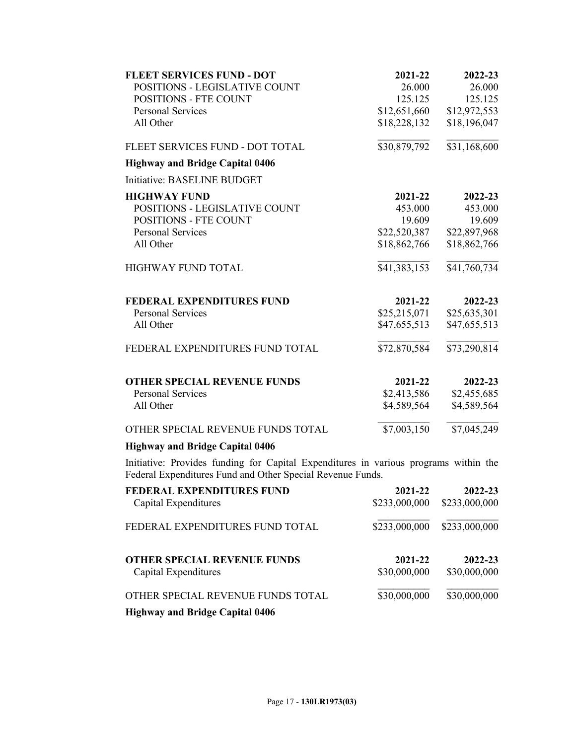| <b>FLEET SERVICES FUND - DOT</b>                                                                                                                   | 2021-22      | 2022-23      |
|----------------------------------------------------------------------------------------------------------------------------------------------------|--------------|--------------|
| POSITIONS - LEGISLATIVE COUNT                                                                                                                      | 26.000       | 26.000       |
| POSITIONS - FTE COUNT                                                                                                                              | 125.125      | 125.125      |
| <b>Personal Services</b>                                                                                                                           | \$12,651,660 | \$12,972,553 |
| All Other                                                                                                                                          | \$18,228,132 | \$18,196,047 |
| FLEET SERVICES FUND - DOT TOTAL                                                                                                                    | \$30,879,792 | \$31,168,600 |
| <b>Highway and Bridge Capital 0406</b>                                                                                                             |              |              |
| Initiative: BASELINE BUDGET                                                                                                                        |              |              |
| <b>HIGHWAY FUND</b>                                                                                                                                | 2021-22      | 2022-23      |
| POSITIONS - LEGISLATIVE COUNT                                                                                                                      | 453.000      | 453.000      |
| <b>POSITIONS - FTE COUNT</b>                                                                                                                       | 19.609       | 19.609       |
| <b>Personal Services</b>                                                                                                                           | \$22,520,387 | \$22,897,968 |
| All Other                                                                                                                                          | \$18,862,766 | \$18,862,766 |
| HIGHWAY FUND TOTAL                                                                                                                                 | \$41,383,153 | \$41,760,734 |
| <b>FEDERAL EXPENDITURES FUND</b>                                                                                                                   | 2021-22      | 2022-23      |
| <b>Personal Services</b>                                                                                                                           | \$25,215,071 | \$25,635,301 |
| All Other                                                                                                                                          | \$47,655,513 | \$47,655,513 |
| FEDERAL EXPENDITURES FUND TOTAL                                                                                                                    | \$72,870,584 | \$73,290,814 |
| <b>OTHER SPECIAL REVENUE FUNDS</b>                                                                                                                 | 2021-22      | 2022-23      |
| <b>Personal Services</b>                                                                                                                           | \$2,413,586  | \$2,455,685  |
| All Other                                                                                                                                          | \$4,589,564  | \$4,589,564  |
| OTHER SPECIAL REVENUE FUNDS TOTAL                                                                                                                  | \$7,003,150  | \$7,045,249  |
| <b>Highway and Bridge Capital 0406</b>                                                                                                             |              |              |
| Initiative: Provides funding for Capital Expenditures in various programs within the<br>Federal Expenditures Fund and Other Special Revenue Funds. |              |              |

| <b>FEDERAL EXPENDITURES FUND</b><br>Capital Expenditures   | 2021-22<br>\$233,000,000 | 2022-23<br>\$233,000,000 |
|------------------------------------------------------------|--------------------------|--------------------------|
| FEDERAL EXPENDITURES FUND TOTAL                            | \$233,000,000            | \$233,000,000            |
| <b>OTHER SPECIAL REVENUE FUNDS</b><br>Capital Expenditures | 2021-22<br>\$30,000,000  | 2022-23<br>\$30,000,000  |
| OTHER SPECIAL REVENUE FUNDS TOTAL                          | \$30,000,000             | \$30,000,000             |
| <b>Highway and Bridge Capital 0406</b>                     |                          |                          |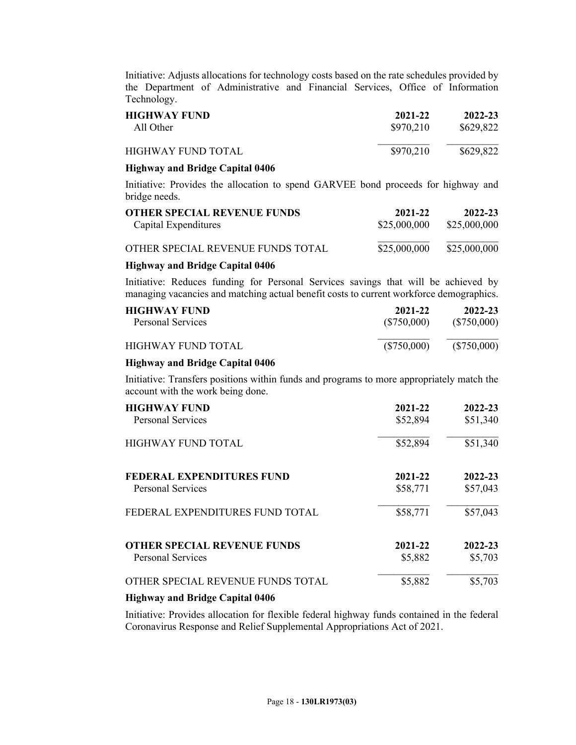Initiative: Adjusts allocations for technology costs based on the rate schedules provided by the Department of Administrative and Financial Services, Office of Information Technology.

| <b>HIGHWAY FUND</b> | 2021-22   | 2022-23   |
|---------------------|-----------|-----------|
| All Other           | \$970,210 | \$629,822 |
| HIGHWAY FUND TOTAL  | \$970,210 | \$629,822 |

### **Highway and Bridge Capital 0406**

Initiative: Provides the allocation to spend GARVEE bond proceeds for highway and bridge needs.

| <b>OTHER SPECIAL REVENUE FUNDS</b> | 2021-22      | 2022-23      |
|------------------------------------|--------------|--------------|
| Capital Expenditures               | \$25,000,000 | \$25,000,000 |
| OTHER SPECIAL REVENUE FUNDS TOTAL  | \$25,000,000 | \$25,000,000 |

## **Highway and Bridge Capital 0406**

Initiative: Reduces funding for Personal Services savings that will be achieved by managing vacancies and matching actual benefit costs to current workforce demographics.

| <b>HIGHWAY FUND</b> | 2021-22     | 2022-23     |
|---------------------|-------------|-------------|
| Personal Services   | (\$750,000) | (\$750,000) |
| HIGHWAY FUND TOTAL  | (\$750,000) | (\$750,000) |

## **Highway and Bridge Capital 0406**

Initiative: Transfers positions within funds and programs to more appropriately match the account with the work being done.

| <b>HIGHWAY FUND</b>                | 2021-22  | 2022-23  |
|------------------------------------|----------|----------|
| <b>Personal Services</b>           | \$52,894 | \$51,340 |
| <b>HIGHWAY FUND TOTAL</b>          | \$52,894 | \$51,340 |
| <b>FEDERAL EXPENDITURES FUND</b>   | 2021-22  | 2022-23  |
| <b>Personal Services</b>           | \$58,771 | \$57,043 |
| FEDERAL EXPENDITURES FUND TOTAL    | \$58,771 | \$57,043 |
| <b>OTHER SPECIAL REVENUE FUNDS</b> | 2021-22  | 2022-23  |
| <b>Personal Services</b>           | \$5,882  | \$5,703  |
| OTHER SPECIAL REVENUE FUNDS TOTAL  | \$5,882  | \$5,703  |

### **Highway and Bridge Capital 0406**

Initiative: Provides allocation for flexible federal highway funds contained in the federal Coronavirus Response and Relief Supplemental Appropriations Act of 2021.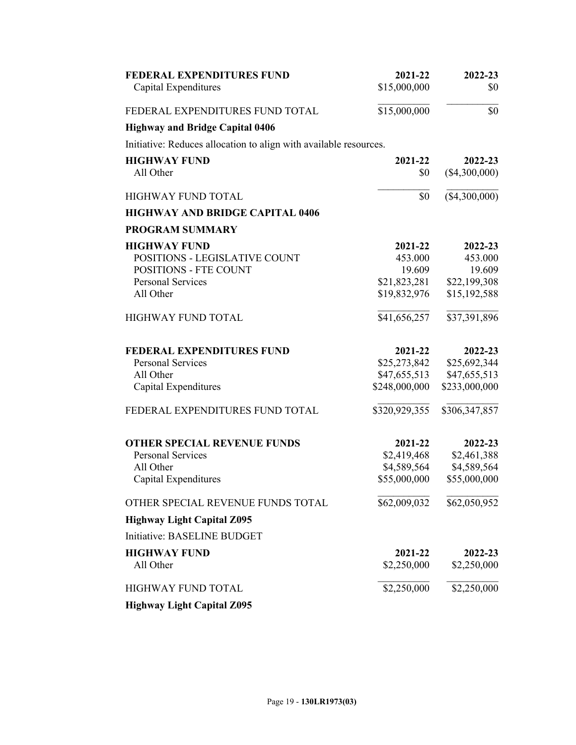| <b>FEDERAL EXPENDITURES FUND</b>                                  | 2021-22       | 2022-23         |
|-------------------------------------------------------------------|---------------|-----------------|
| Capital Expenditures                                              | \$15,000,000  | \$0             |
| FEDERAL EXPENDITURES FUND TOTAL                                   | \$15,000,000  | \$0             |
| <b>Highway and Bridge Capital 0406</b>                            |               |                 |
| Initiative: Reduces allocation to align with available resources. |               |                 |
| <b>HIGHWAY FUND</b>                                               | 2021-22       | 2022-23         |
| All Other                                                         | \$0           | $(\$4,300,000)$ |
| <b>HIGHWAY FUND TOTAL</b>                                         | \$0           | (\$4,300,000)   |
| <b>HIGHWAY AND BRIDGE CAPITAL 0406</b>                            |               |                 |
| <b>PROGRAM SUMMARY</b>                                            |               |                 |
| <b>HIGHWAY FUND</b>                                               | 2021-22       | 2022-23         |
| POSITIONS - LEGISLATIVE COUNT                                     | 453.000       | 453.000         |
| <b>POSITIONS - FTE COUNT</b>                                      | 19.609        | 19.609          |
| <b>Personal Services</b>                                          | \$21,823,281  | \$22,199,308    |
| All Other                                                         | \$19,832,976  | \$15,192,588    |
| HIGHWAY FUND TOTAL                                                | \$41,656,257  | \$37,391,896    |
| <b>FEDERAL EXPENDITURES FUND</b>                                  | 2021-22       | 2022-23         |
| <b>Personal Services</b>                                          | \$25,273,842  | \$25,692,344    |
| All Other                                                         | \$47,655,513  | \$47,655,513    |
| Capital Expenditures                                              | \$248,000,000 | \$233,000,000   |
| FEDERAL EXPENDITURES FUND TOTAL                                   | \$320,929,355 | \$306,347,857   |
| <b>OTHER SPECIAL REVENUE FUNDS</b>                                | 2021-22       | 2022-23         |
| <b>Personal Services</b>                                          | \$2,419,468   | \$2,461,388     |
| All Other                                                         | \$4,589,564   | \$4,589,564     |
| Capital Expenditures                                              | \$55,000,000  | \$55,000,000    |
| OTHER SPECIAL REVENUE FUNDS TOTAL                                 | \$62,009,032  | \$62,050,952    |
| <b>Highway Light Capital Z095</b>                                 |               |                 |
| Initiative: BASELINE BUDGET                                       |               |                 |
| <b>HIGHWAY FUND</b>                                               | 2021-22       | 2022-23         |
| All Other                                                         | \$2,250,000   | \$2,250,000     |
| <b>HIGHWAY FUND TOTAL</b>                                         | \$2,250,000   | \$2,250,000     |
| <b>Highway Light Capital Z095</b>                                 |               |                 |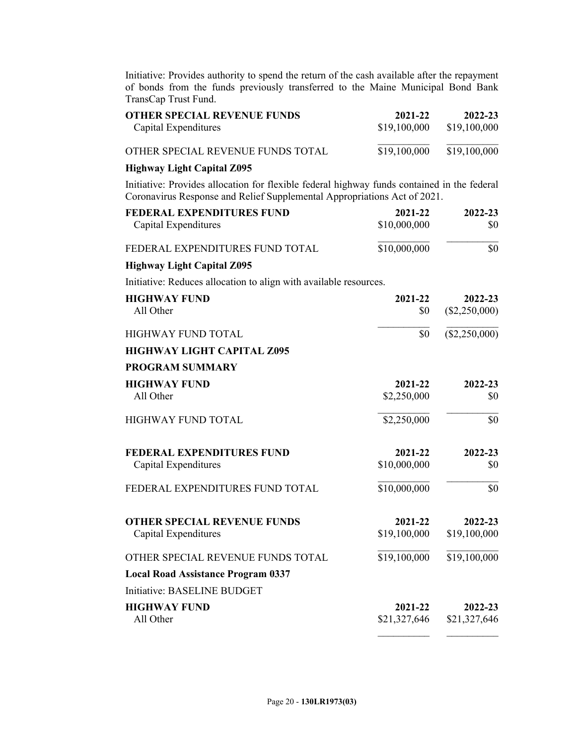Initiative: Provides authority to spend the return of the cash available after the repayment of bonds from the funds previously transferred to the Maine Municipal Bond Bank TransCap Trust Fund.

| <b>OTHER SPECIAL REVENUE FUNDS</b>                                                                                                                                      | 2021-22                 | 2022-23                  |
|-------------------------------------------------------------------------------------------------------------------------------------------------------------------------|-------------------------|--------------------------|
| Capital Expenditures                                                                                                                                                    | \$19,100,000            | \$19,100,000             |
| OTHER SPECIAL REVENUE FUNDS TOTAL                                                                                                                                       | \$19,100,000            | \$19,100,000             |
| <b>Highway Light Capital Z095</b>                                                                                                                                       |                         |                          |
| Initiative: Provides allocation for flexible federal highway funds contained in the federal<br>Coronavirus Response and Relief Supplemental Appropriations Act of 2021. |                         |                          |
| <b>FEDERAL EXPENDITURES FUND</b>                                                                                                                                        | 2021-22                 | 2022-23                  |
| Capital Expenditures                                                                                                                                                    | \$10,000,000            | \$0                      |
| FEDERAL EXPENDITURES FUND TOTAL                                                                                                                                         | \$10,000,000            | \$0                      |
| <b>Highway Light Capital Z095</b>                                                                                                                                       |                         |                          |
| Initiative: Reduces allocation to align with available resources.                                                                                                       |                         |                          |
| <b>HIGHWAY FUND</b>                                                                                                                                                     | 2021-22                 | 2022-23                  |
| All Other                                                                                                                                                               | \$0                     | $(\$2,250,000)$          |
| <b>HIGHWAY FUND TOTAL</b>                                                                                                                                               | \$0                     | (\$2,250,000)            |
| <b>HIGHWAY LIGHT CAPITAL Z095</b>                                                                                                                                       |                         |                          |
| <b>PROGRAM SUMMARY</b>                                                                                                                                                  |                         |                          |
| <b>HIGHWAY FUND</b>                                                                                                                                                     | 2021-22                 | 2022-23                  |
| All Other                                                                                                                                                               | \$2,250,000             | \$0                      |
| <b>HIGHWAY FUND TOTAL</b>                                                                                                                                               | \$2,250,000             | \$0                      |
| <b>FEDERAL EXPENDITURES FUND</b>                                                                                                                                        | 2021-22                 | 2022-23                  |
| Capital Expenditures                                                                                                                                                    | \$10,000,000            | \$0                      |
| FEDERAL EXPENDITURES FUND TOTAL                                                                                                                                         | \$10,000,000            | \$0                      |
| <b>OTHER SPECIAL REVENUE FUNDS</b><br>Capital Expenditures                                                                                                              | 2021-22<br>\$19,100,000 | 2022-23<br>\$19,100,000  |
| OTHER SPECIAL REVENUE FUNDS TOTAL                                                                                                                                       | \$19,100,000            | $\overline{$19,100,000}$ |
| <b>Local Road Assistance Program 0337</b>                                                                                                                               |                         |                          |
| Initiative: BASELINE BUDGET                                                                                                                                             |                         |                          |
| <b>HIGHWAY FUND</b>                                                                                                                                                     | 2021-22                 | 2022-23                  |
| All Other                                                                                                                                                               | \$21,327,646            | \$21,327,646             |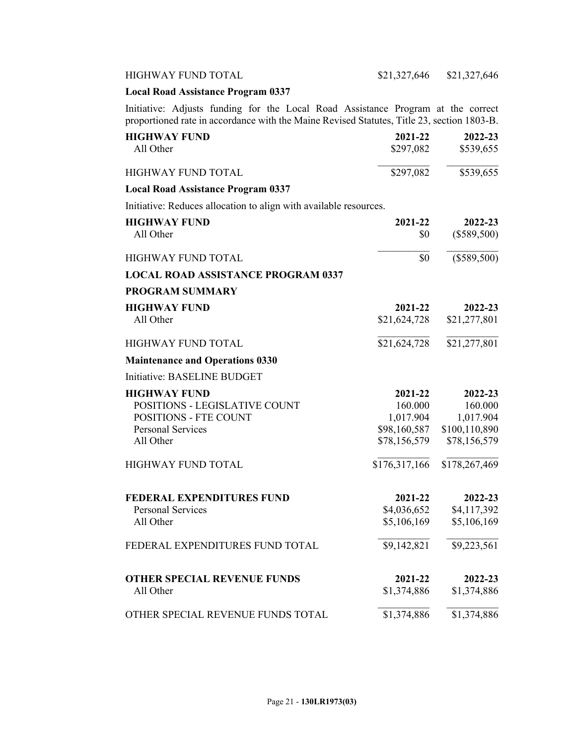## **Local Road Assistance Program 0337**

Initiative: Adjusts funding for the Local Road Assistance Program at the correct proportioned rate in accordance with the Maine Revised Statutes, Title 23, section 1803-B.

| <b>HIGHWAY FUND</b>                                               | 2021-22       | 2022-23                  |
|-------------------------------------------------------------------|---------------|--------------------------|
| All Other                                                         | \$297,082     | \$539,655                |
| <b>HIGHWAY FUND TOTAL</b>                                         | \$297,082     | \$539,655                |
| <b>Local Road Assistance Program 0337</b>                         |               |                          |
| Initiative: Reduces allocation to align with available resources. |               |                          |
| <b>HIGHWAY FUND</b>                                               | 2021-22       | 2022-23                  |
| All Other                                                         | \$0           | $(\$589,500)$            |
| <b>HIGHWAY FUND TOTAL</b>                                         | \$0           | $(\$589,500)$            |
| <b>LOCAL ROAD ASSISTANCE PROGRAM 0337</b>                         |               |                          |
| <b>PROGRAM SUMMARY</b>                                            |               |                          |
| <b>HIGHWAY FUND</b>                                               | 2021-22       | 2022-23                  |
| All Other                                                         | \$21,624,728  | \$21,277,801             |
| <b>HIGHWAY FUND TOTAL</b>                                         | \$21,624,728  | $\overline{$21,277,801}$ |
| <b>Maintenance and Operations 0330</b>                            |               |                          |
| <b>Initiative: BASELINE BUDGET</b>                                |               |                          |
| <b>HIGHWAY FUND</b>                                               | 2021-22       | 2022-23                  |
| POSITIONS - LEGISLATIVE COUNT                                     | 160.000       | 160.000                  |
| <b>POSITIONS - FTE COUNT</b>                                      | 1,017.904     | 1,017.904                |
| <b>Personal Services</b>                                          | \$98,160,587  | \$100,110,890            |
| All Other                                                         | \$78,156,579  | \$78,156,579             |
| HIGHWAY FUND TOTAL                                                | \$176,317,166 | \$178,267,469            |
| FEDERAL EXPENDITURES FUND                                         | 2021-22       | 2022-23                  |
| <b>Personal Services</b>                                          | \$4,036,652   | \$4,117,392              |
| All Other                                                         | \$5,106,169   | \$5,106,169              |
| FEDERAL EXPENDITURES FUND TOTAL                                   | \$9,142,821   | \$9,223,561              |
| <b>OTHER SPECIAL REVENUE FUNDS</b>                                | 2021-22       | 2022-23                  |
| All Other                                                         | \$1,374,886   | \$1,374,886              |
| OTHER SPECIAL REVENUE FUNDS TOTAL                                 | \$1,374,886   | \$1,374,886              |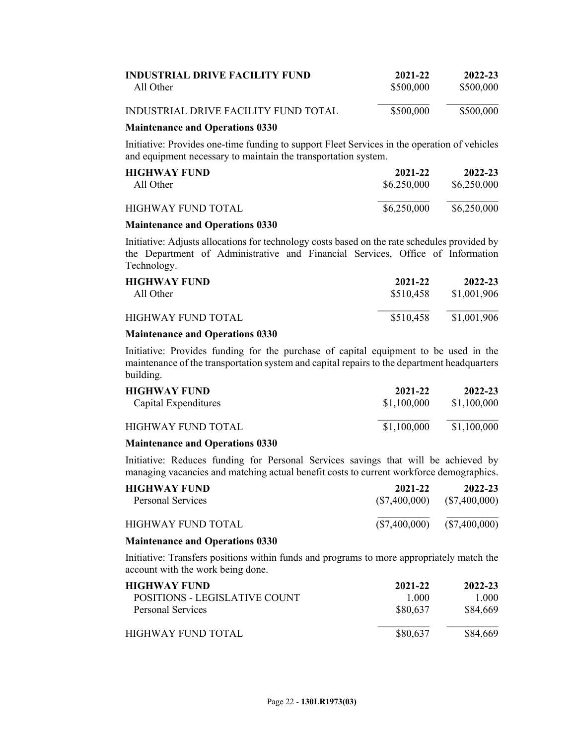| <b>INDUSTRIAL DRIVE FACILITY FUND</b>     | 2021-22   | 2022-23   |
|-------------------------------------------|-----------|-----------|
| All Other                                 | \$500,000 | \$500,000 |
| INDUSTRIAL DRIVE FACILITY FUND TOTAL<br>. | \$500,000 | \$500,000 |

## **Maintenance and Operations 0330**

Initiative: Provides one-time funding to support Fleet Services in the operation of vehicles and equipment necessary to maintain the transportation system.

| <b>HIGHWAY FUND</b>       | 2021-22     | 2022-23     |
|---------------------------|-------------|-------------|
| All Other                 | \$6,250,000 | \$6,250,000 |
| <b>HIGHWAY FUND TOTAL</b> | \$6,250,000 | \$6,250,000 |

### **Maintenance and Operations 0330**

Initiative: Adjusts allocations for technology costs based on the rate schedules provided by the Department of Administrative and Financial Services, Office of Information Technology.

| <b>HIGHWAY FUND</b>                                                              | 2021-22   | 2022-23     |
|----------------------------------------------------------------------------------|-----------|-------------|
| All Other                                                                        | \$510,458 | \$1,001,906 |
| <b>HIGHWAY FUND TOTAL</b><br>.<br>$\mathbf{a} \cdot \mathbf{a} \cdot \mathbf{a}$ | \$510,458 | \$1,001,906 |

## **Maintenance and Operations 0330**

Initiative: Provides funding for the purchase of capital equipment to be used in the maintenance of the transportation system and capital repairs to the department headquarters building.

| <b>HIGHWAY FUND</b><br>Capital Expenditures | 2021-22<br>\$1,100,000 | 2022-23<br>\$1,100,000 |
|---------------------------------------------|------------------------|------------------------|
| HIGHWAY FUND TOTAL                          | \$1,100,000            | \$1,100,000            |
|                                             |                        |                        |

## **Maintenance and Operations 0330**

Initiative: Reduces funding for Personal Services savings that will be achieved by managing vacancies and matching actual benefit costs to current workforce demographics.

| <b>HIGHWAY FUND</b> | 2021-22       | 2022-23         |
|---------------------|---------------|-----------------|
| Personal Services   | (S7,400,000)  | $(\$7,400,000)$ |
| HIGHWAY FUND TOTAL  | (\$7,400,000) | $(\$7,400,000)$ |

### **Maintenance and Operations 0330**

Initiative: Transfers positions within funds and programs to more appropriately match the account with the work being done.

| <b>HIGHWAY FUND</b>           | 2021-22  | 2022-23  |
|-------------------------------|----------|----------|
| POSITIONS - LEGISLATIVE COUNT | 1 000    | 1 000    |
| Personal Services             | \$80,637 | \$84,669 |
| HIGHWAY FUND TOTAL            | \$80,637 | \$84,669 |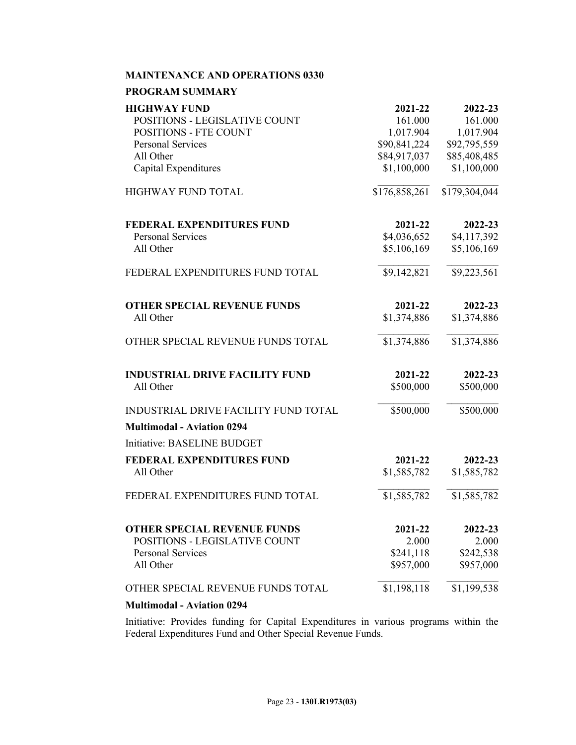## **MAINTENANCE AND OPERATIONS 0330**

### **PROGRAM SUMMARY**

| <b>HIGHWAY FUND</b>                   | 2021-22                      | 2022-23                      |
|---------------------------------------|------------------------------|------------------------------|
| POSITIONS - LEGISLATIVE COUNT         | 161.000                      | 161.000                      |
| POSITIONS - FTE COUNT                 | 1,017.904                    | 1,017.904                    |
| <b>Personal Services</b><br>All Other | \$90,841,224<br>\$84,917,037 | \$92,795,559<br>\$85,408,485 |
| <b>Capital Expenditures</b>           | \$1,100,000                  | \$1,100,000                  |
|                                       |                              |                              |
| <b>HIGHWAY FUND TOTAL</b>             | \$176,858,261                | \$179,304,044                |
| FEDERAL EXPENDITURES FUND             | 2021-22                      | 2022-23                      |
| <b>Personal Services</b>              | \$4,036,652                  | \$4,117,392                  |
| All Other                             | \$5,106,169                  | \$5,106,169                  |
| FEDERAL EXPENDITURES FUND TOTAL       | \$9,142,821                  | \$9,223,561                  |
| <b>OTHER SPECIAL REVENUE FUNDS</b>    | 2021-22                      | 2022-23                      |
| All Other                             | \$1,374,886                  | \$1,374,886                  |
| OTHER SPECIAL REVENUE FUNDS TOTAL     | \$1,374,886                  | \$1,374,886                  |
| <b>INDUSTRIAL DRIVE FACILITY FUND</b> | 2021-22                      | 2022-23                      |
| All Other                             | \$500,000                    | \$500,000                    |
| INDUSTRIAL DRIVE FACILITY FUND TOTAL  | \$500,000                    | \$500,000                    |
| <b>Multimodal - Aviation 0294</b>     |                              |                              |
| Initiative: BASELINE BUDGET           |                              |                              |
| <b>FEDERAL EXPENDITURES FUND</b>      | 2021-22                      | 2022-23                      |
| All Other                             | \$1,585,782                  | \$1,585,782                  |
| FEDERAL EXPENDITURES FUND TOTAL       | \$1,585,782                  | \$1,585,782                  |
| <b>OTHER SPECIAL REVENUE FUNDS</b>    | 2021-22                      | 2022-23                      |
| POSITIONS - LEGISLATIVE COUNT         | 2.000                        | 2.000                        |
| <b>Personal Services</b>              | \$241,118                    | \$242,538                    |
| All Other                             | \$957,000                    | \$957,000                    |
| OTHER SPECIAL REVENUE FUNDS TOTAL     | \$1,198,118                  | \$1,199,538                  |
| $\cdot$ $\cdot$ 0004                  |                              |                              |

## **Multimodal - Aviation 0294**

Initiative: Provides funding for Capital Expenditures in various programs within the Federal Expenditures Fund and Other Special Revenue Funds.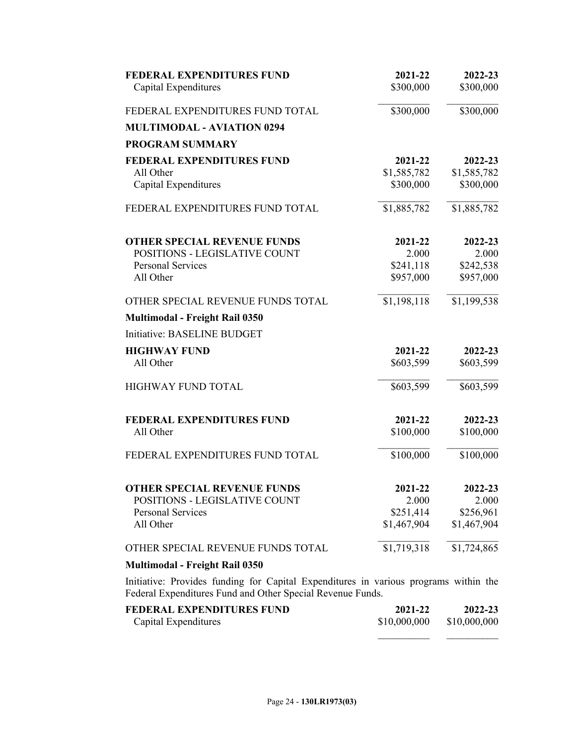| <b>FEDERAL EXPENDITURES FUND</b>                                                                                                                   | 2021-22     | 2022-23     |
|----------------------------------------------------------------------------------------------------------------------------------------------------|-------------|-------------|
| Capital Expenditures                                                                                                                               | \$300,000   | \$300,000   |
| FEDERAL EXPENDITURES FUND TOTAL                                                                                                                    | \$300,000   | \$300,000   |
| <b>MULTIMODAL - AVIATION 0294</b>                                                                                                                  |             |             |
| <b>PROGRAM SUMMARY</b>                                                                                                                             |             |             |
| <b>FEDERAL EXPENDITURES FUND</b>                                                                                                                   | 2021-22     | 2022-23     |
| All Other                                                                                                                                          | \$1,585,782 | \$1,585,782 |
| Capital Expenditures                                                                                                                               | \$300,000   | \$300,000   |
| FEDERAL EXPENDITURES FUND TOTAL                                                                                                                    | \$1,885,782 | \$1,885,782 |
| <b>OTHER SPECIAL REVENUE FUNDS</b>                                                                                                                 | 2021-22     | 2022-23     |
| POSITIONS - LEGISLATIVE COUNT                                                                                                                      | 2.000       | 2.000       |
| <b>Personal Services</b>                                                                                                                           | \$241,118   | \$242,538   |
| All Other                                                                                                                                          | \$957,000   | \$957,000   |
| OTHER SPECIAL REVENUE FUNDS TOTAL                                                                                                                  | \$1,198,118 | \$1,199,538 |
| Multimodal - Freight Rail 0350                                                                                                                     |             |             |
| Initiative: BASELINE BUDGET                                                                                                                        |             |             |
| <b>HIGHWAY FUND</b>                                                                                                                                | 2021-22     | 2022-23     |
| All Other                                                                                                                                          | \$603,599   | \$603,599   |
| <b>HIGHWAY FUND TOTAL</b>                                                                                                                          | \$603,599   | \$603,599   |
| <b>FEDERAL EXPENDITURES FUND</b>                                                                                                                   | 2021-22     | 2022-23     |
| All Other                                                                                                                                          | \$100,000   | \$100,000   |
| FEDERAL EXPENDITURES FUND TOTAL                                                                                                                    | \$100,000   | \$100,000   |
| <b>OTHER SPECIAL REVENUE FUNDS</b>                                                                                                                 | 2021-22     | 2022-23     |
| POSITIONS - LEGISLATIVE COUNT                                                                                                                      | 2.000       | 2.000       |
| Personal Services                                                                                                                                  | \$251,414   | \$256,961   |
| All Other                                                                                                                                          | \$1,467,904 | \$1,467,904 |
| OTHER SPECIAL REVENUE FUNDS TOTAL                                                                                                                  | \$1,719,318 | \$1,724,865 |
| <b>Multimodal - Freight Rail 0350</b>                                                                                                              |             |             |
| Initiative: Provides funding for Capital Expenditures in various programs within the<br>Federal Expenditures Fund and Other Special Revenue Funds. |             |             |
| FEDERAL EXPENDITURES FUND                                                                                                                          | 2021-22     | 2022-23     |

| EEDERAL EXPENDITURES FUND- | 2021-22      | 2022-23      |
|----------------------------|--------------|--------------|
| Capital Expenditures       | \$10,000,000 | \$10,000,000 |
|                            |              |              |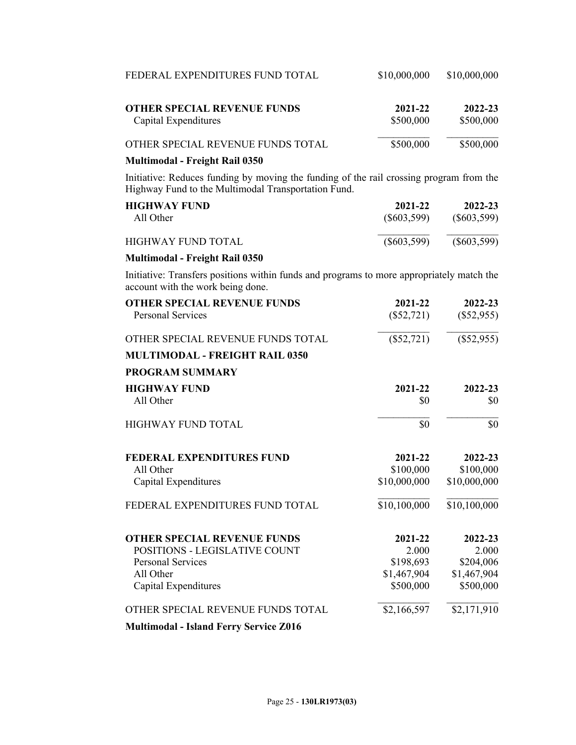| FEDERAL EXPENDITURES FUND TOTAL                                                                                                                | \$10,000,000         | \$10,000,000         |
|------------------------------------------------------------------------------------------------------------------------------------------------|----------------------|----------------------|
| <b>OTHER SPECIAL REVENUE FUNDS</b><br>Capital Expenditures                                                                                     | 2021-22<br>\$500,000 | 2022-23<br>\$500,000 |
| OTHER SPECIAL REVENUE FUNDS TOTAL                                                                                                              | \$500,000            | \$500,000            |
| <b>Multimodal - Freight Rail 0350</b>                                                                                                          |                      |                      |
| Initiative: Reduces funding by moving the funding of the rail crossing program from the<br>Highway Fund to the Multimodal Transportation Fund. |                      |                      |
| <b>HIGHWAY FUND</b>                                                                                                                            | 2021-22              | 2022-23              |
| All Other                                                                                                                                      | $(\$603,599)$        | $(\$603,599)$        |
| <b>HIGHWAY FUND TOTAL</b>                                                                                                                      | $(\$603,599)$        | $(\$603,599)$        |
| <b>Multimodal - Freight Rail 0350</b>                                                                                                          |                      |                      |
| Initiative: Transfers positions within funds and programs to more appropriately match the<br>account with the work being done.                 |                      |                      |
| <b>OTHER SPECIAL REVENUE FUNDS</b>                                                                                                             | 2021-22              | 2022-23              |
| <b>Personal Services</b>                                                                                                                       | $(\$52,721)$         | $(\$52,955)$         |
| OTHER SPECIAL REVENUE FUNDS TOTAL                                                                                                              | $(\$52,721)$         | $(\$52,955)$         |
| <b>MULTIMODAL - FREIGHT RAIL 0350</b>                                                                                                          |                      |                      |
| <b>PROGRAM SUMMARY</b>                                                                                                                         |                      |                      |
| <b>HIGHWAY FUND</b>                                                                                                                            | 2021-22              | 2022-23              |
| All Other                                                                                                                                      | \$0                  | \$0                  |
| <b>HIGHWAY FUND TOTAL</b>                                                                                                                      | \$0                  | \$0                  |
| <b>FEDERAL EXPENDITURES FUND</b>                                                                                                               | 2021-22              | 2022-23              |
| All Other                                                                                                                                      | \$100,000            | \$100,000            |
| Capital Expenditures                                                                                                                           | \$10,000,000         | \$10,000,000         |
| FEDERAL EXPENDITURES FUND TOTAL                                                                                                                | \$10,100,000         | \$10,100,000         |
| <b>OTHER SPECIAL REVENUE FUNDS</b>                                                                                                             | 2021-22              | 2022-23              |
| POSITIONS - LEGISLATIVE COUNT                                                                                                                  | 2.000                | 2.000                |
| <b>Personal Services</b>                                                                                                                       | \$198,693            | \$204,006            |
| All Other                                                                                                                                      | \$1,467,904          | \$1,467,904          |
| Capital Expenditures                                                                                                                           | \$500,000            | \$500,000            |
| OTHER SPECIAL REVENUE FUNDS TOTAL                                                                                                              | \$2,166,597          | \$2,171,910          |
| <b>Multimodal - Island Ferry Service Z016</b>                                                                                                  |                      |                      |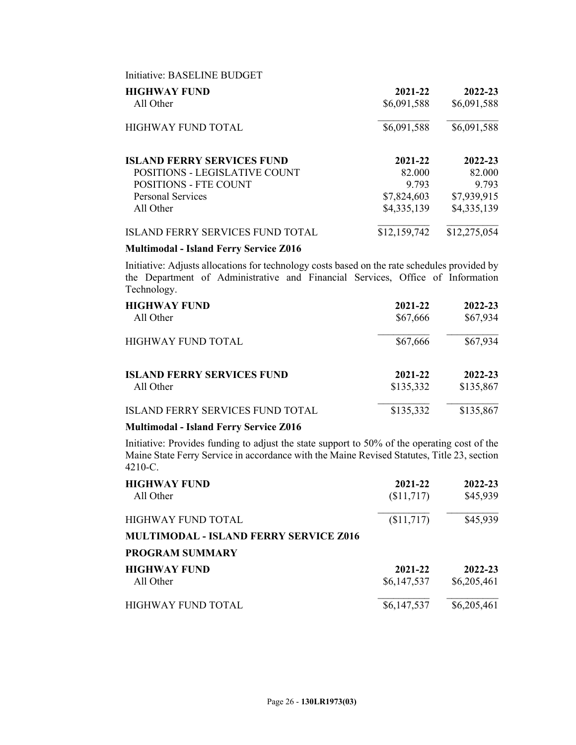| Initiative: BASELINE BUDGET             |              |              |
|-----------------------------------------|--------------|--------------|
| <b>HIGHWAY FUND</b>                     | 2021-22      | 2022-23      |
| All Other                               | \$6,091,588  | \$6,091,588  |
| HIGHWAY FUND TOTAL                      | \$6,091,588  | \$6,091,588  |
| <b>ISLAND FERRY SERVICES FUND</b>       | 2021-22      | 2022-23      |
| <b>POSITIONS - LEGISLATIVE COUNT</b>    | 82.000       | 82.000       |
| <b>POSITIONS - FTE COUNT</b>            | 9 793        | 9 7 9 3      |
| <b>Personal Services</b>                | \$7,824,603  | \$7,939,915  |
| All Other                               | \$4,335,139  | \$4,335,139  |
| <b>ISLAND FERRY SERVICES FUND TOTAL</b> | \$12,159,742 | \$12,275,054 |

## **Multimodal - Island Ferry Service Z016**

Initiative: Adjusts allocations for technology costs based on the rate schedules provided by the Department of Administrative and Financial Services, Office of Information Technology.

| <b>HIGHWAY FUND</b>                     | 2021-22   | 2022-23   |
|-----------------------------------------|-----------|-----------|
| All Other                               | \$67,666  | \$67,934  |
| <b>HIGHWAY FUND TOTAL</b>               | \$67,666  | \$67,934  |
| <b>ISLAND FERRY SERVICES FUND</b>       | 2021-22   | 2022-23   |
| All Other                               | \$135,332 | \$135,867 |
| <b>ISLAND FERRY SERVICES FUND TOTAL</b> | \$135,332 | \$135,867 |

## **Multimodal - Island Ferry Service Z016**

Initiative: Provides funding to adjust the state support to 50% of the operating cost of the Maine State Ferry Service in accordance with the Maine Revised Statutes, Title 23, section 4210-C.

| <b>HIGHWAY FUND</b><br>All Other                                           | 2021-22<br>\$11,717    | 2022-23<br>\$45,939    |
|----------------------------------------------------------------------------|------------------------|------------------------|
| <b>HIGHWAY FUND TOTAL</b><br><b>MULTIMODAL - ISLAND FERRY SERVICE Z016</b> | (\$11,717)             | \$45,939               |
| <b>PROGRAM SUMMARY</b>                                                     |                        |                        |
| <b>HIGHWAY FUND</b><br>All Other                                           | 2021-22<br>\$6,147,537 | 2022-23<br>\$6,205,461 |
| <b>HIGHWAY FUND TOTAL</b>                                                  | \$6,147,537            | \$6,205,461            |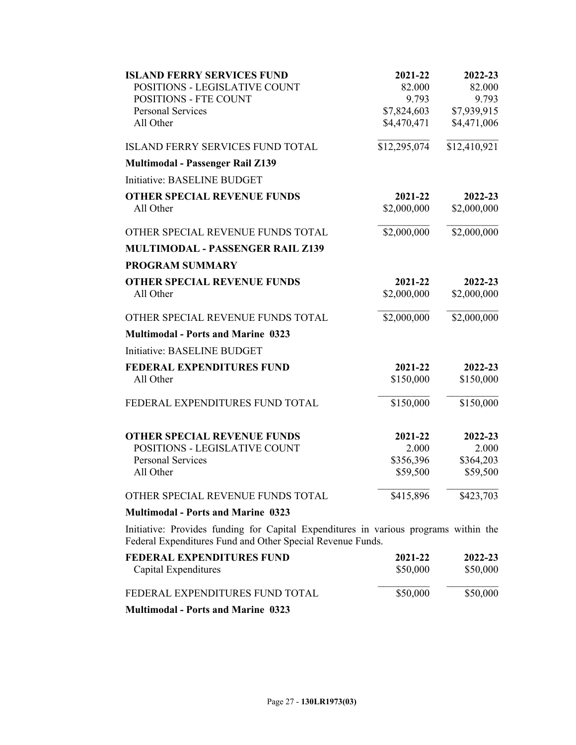| <b>ISLAND FERRY SERVICES FUND</b>                                                                                                                  | 2021-22                 | 2022-23      |
|----------------------------------------------------------------------------------------------------------------------------------------------------|-------------------------|--------------|
| POSITIONS - LEGISLATIVE COUNT                                                                                                                      | 82.000                  | 82.000       |
| <b>POSITIONS - FTE COUNT</b>                                                                                                                       | 9.793                   | 9.793        |
| <b>Personal Services</b>                                                                                                                           | \$7,824,603             | \$7,939,915  |
| All Other                                                                                                                                          | \$4,470,471             | \$4,471,006  |
| <b>ISLAND FERRY SERVICES FUND TOTAL</b>                                                                                                            | \$12,295,074            | \$12,410,921 |
| <b>Multimodal - Passenger Rail Z139</b>                                                                                                            |                         |              |
| Initiative: BASELINE BUDGET                                                                                                                        |                         |              |
| <b>OTHER SPECIAL REVENUE FUNDS</b>                                                                                                                 | 2021-22                 | 2022-23      |
| All Other                                                                                                                                          | \$2,000,000             | \$2,000,000  |
| OTHER SPECIAL REVENUE FUNDS TOTAL                                                                                                                  | \$2,000,000             | \$2,000,000  |
| <b>MULTIMODAL - PASSENGER RAIL Z139</b>                                                                                                            |                         |              |
| <b>PROGRAM SUMMARY</b>                                                                                                                             |                         |              |
| <b>OTHER SPECIAL REVENUE FUNDS</b>                                                                                                                 | 2021-22                 | 2022-23      |
| All Other                                                                                                                                          | \$2,000,000             | \$2,000,000  |
| OTHER SPECIAL REVENUE FUNDS TOTAL                                                                                                                  | $\overline{$2,000,000}$ | \$2,000,000  |
| <b>Multimodal - Ports and Marine 0323</b>                                                                                                          |                         |              |
| Initiative: BASELINE BUDGET                                                                                                                        |                         |              |
| <b>FEDERAL EXPENDITURES FUND</b>                                                                                                                   | 2021-22                 | 2022-23      |
| All Other                                                                                                                                          | \$150,000               | \$150,000    |
| FEDERAL EXPENDITURES FUND TOTAL                                                                                                                    | \$150,000               | \$150,000    |
| <b>OTHER SPECIAL REVENUE FUNDS</b>                                                                                                                 | 2021-22                 | 2022-23      |
| POSITIONS - LEGISLATIVE COUNT                                                                                                                      | 2.000                   | 2.000        |
| <b>Personal Services</b>                                                                                                                           | \$356,396               | \$364,203    |
| All Other                                                                                                                                          | \$59,500                | \$59,500     |
| OTHER SPECIAL REVENUE FUNDS TOTAL                                                                                                                  | \$415,896               | \$423,703    |
| <b>Multimodal - Ports and Marine 0323</b>                                                                                                          |                         |              |
| Initiative: Provides funding for Capital Expenditures in various programs within the<br>Federal Expenditures Fund and Other Special Revenue Funds. |                         |              |
| <b>FEDERAL EXPENDITURES FUND</b>                                                                                                                   | 2021-22                 | 2022-23      |
| Capital Expenditures                                                                                                                               | \$50,000                | \$50,000     |
| FEDERAL EXPENDITURES FUND TOTAL                                                                                                                    | \$50,000                | \$50,000     |
| <b>Multimodal - Ports and Marine 0323</b>                                                                                                          |                         |              |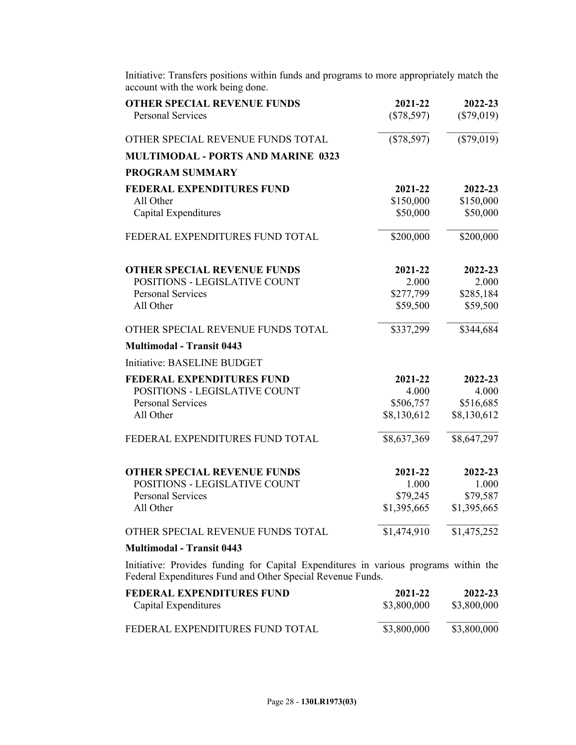| account with the work being done.                                                                                                                  |              |              |
|----------------------------------------------------------------------------------------------------------------------------------------------------|--------------|--------------|
| <b>OTHER SPECIAL REVENUE FUNDS</b>                                                                                                                 | 2021-22      | 2022-23      |
| <b>Personal Services</b>                                                                                                                           | $(\$78,597)$ | $(\$79,019)$ |
| OTHER SPECIAL REVENUE FUNDS TOTAL                                                                                                                  | $(\$78,597)$ | $(\$79,019)$ |
| <b>MULTIMODAL - PORTS AND MARINE 0323</b>                                                                                                          |              |              |
| <b>PROGRAM SUMMARY</b>                                                                                                                             |              |              |
| <b>FEDERAL EXPENDITURES FUND</b>                                                                                                                   | 2021-22      | 2022-23      |
| All Other                                                                                                                                          | \$150,000    | \$150,000    |
| Capital Expenditures                                                                                                                               | \$50,000     | \$50,000     |
| FEDERAL EXPENDITURES FUND TOTAL                                                                                                                    | \$200,000    | \$200,000    |
| <b>OTHER SPECIAL REVENUE FUNDS</b>                                                                                                                 | 2021-22      | 2022-23      |
| POSITIONS - LEGISLATIVE COUNT                                                                                                                      | 2.000        | 2.000        |
| <b>Personal Services</b>                                                                                                                           | \$277,799    | \$285,184    |
| All Other                                                                                                                                          | \$59,500     | \$59,500     |
| OTHER SPECIAL REVENUE FUNDS TOTAL                                                                                                                  | \$337,299    | \$344,684    |
| <b>Multimodal - Transit 0443</b>                                                                                                                   |              |              |
| Initiative: BASELINE BUDGET                                                                                                                        |              |              |
| <b>FEDERAL EXPENDITURES FUND</b>                                                                                                                   | 2021-22      | 2022-23      |
| POSITIONS - LEGISLATIVE COUNT                                                                                                                      | 4.000        | 4.000        |
| <b>Personal Services</b>                                                                                                                           | \$506,757    | \$516,685    |
| All Other                                                                                                                                          | \$8,130,612  | \$8,130,612  |
| FEDERAL EXPENDITURES FUND TOTAL                                                                                                                    | \$8,637,369  | \$8,647,297  |
| <b>OTHER SPECIAL REVENUE FUNDS</b>                                                                                                                 | 2021-22      | 2022-23      |
| POSITIONS - LEGISLATIVE COUNT                                                                                                                      | 1.000        | 1.000        |
| <b>Personal Services</b>                                                                                                                           | \$79,245     | \$79,587     |
| All Other                                                                                                                                          | \$1,395,665  | \$1,395,665  |
| OTHER SPECIAL REVENUE FUNDS TOTAL                                                                                                                  | \$1,474,910  | \$1,475,252  |
| <b>Multimodal - Transit 0443</b>                                                                                                                   |              |              |
| Initiative: Provides funding for Capital Expenditures in various programs within the<br>Federal Expenditures Fund and Other Special Revenue Funds. |              |              |
| <b>FEDERAL EXPENDITURES FUND</b>                                                                                                                   | 2021-22      | 2022-23      |
| Capital Expenditures                                                                                                                               | \$3,800,000  | \$3,800,000  |
| FEDERAL EXPENDITURES FUND TOTAL                                                                                                                    | \$3,800,000  | \$3,800,000  |

Initiative: Transfers positions within funds and programs to more appropriately match the account with the work being done.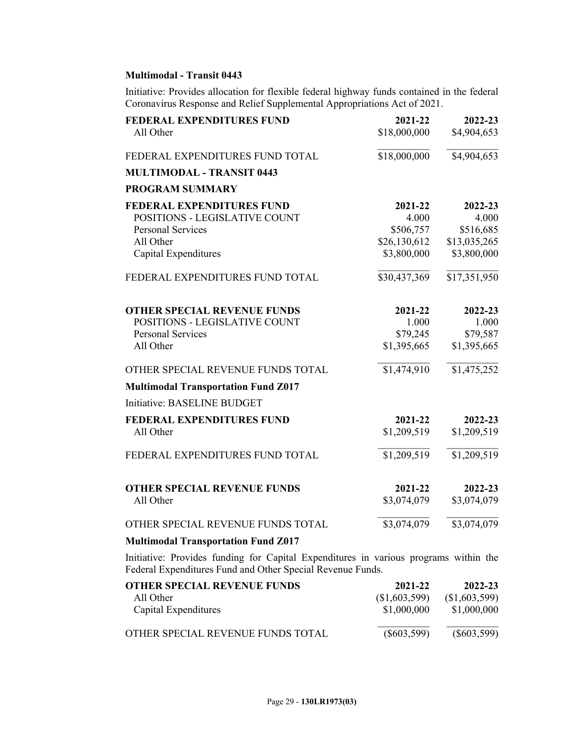## **Multimodal - Transit 0443**

Initiative: Provides allocation for flexible federal highway funds contained in the federal Coronavirus Response and Relief Supplemental Appropriations Act of 2021.

| FEDERAL EXPENDITURES FUND<br>All Other                                                                                             | 2021-22<br>\$18,000,000                                      | 2022-23<br>\$4,904,653                                       |
|------------------------------------------------------------------------------------------------------------------------------------|--------------------------------------------------------------|--------------------------------------------------------------|
| FEDERAL EXPENDITURES FUND TOTAL                                                                                                    | \$18,000,000                                                 | \$4,904,653                                                  |
| <b>MULTIMODAL - TRANSIT 0443</b>                                                                                                   |                                                              |                                                              |
| <b>PROGRAM SUMMARY</b>                                                                                                             |                                                              |                                                              |
| <b>FEDERAL EXPENDITURES FUND</b><br>POSITIONS - LEGISLATIVE COUNT<br><b>Personal Services</b><br>All Other<br>Capital Expenditures | 2021-22<br>4.000<br>\$506,757<br>\$26,130,612<br>\$3,800,000 | 2022-23<br>4.000<br>\$516,685<br>\$13,035,265<br>\$3,800,000 |
| FEDERAL EXPENDITURES FUND TOTAL                                                                                                    | \$30,437,369                                                 | \$17,351,950                                                 |
| <b>OTHER SPECIAL REVENUE FUNDS</b><br>POSITIONS - LEGISLATIVE COUNT<br><b>Personal Services</b><br>All Other                       | 2021-22<br>1.000<br>\$79,245<br>\$1,395,665                  | 2022-23<br>1.000<br>\$79,587<br>\$1,395,665                  |
| OTHER SPECIAL REVENUE FUNDS TOTAL                                                                                                  | \$1,474,910                                                  | \$1,475,252                                                  |
| <b>Multimodal Transportation Fund Z017</b>                                                                                         |                                                              |                                                              |
| Initiative: BASELINE BUDGET                                                                                                        |                                                              |                                                              |
| <b>FEDERAL EXPENDITURES FUND</b><br>All Other                                                                                      | 2021-22<br>\$1,209,519                                       | 2022-23<br>\$1,209,519                                       |
| FEDERAL EXPENDITURES FUND TOTAL                                                                                                    | \$1,209,519                                                  | \$1,209,519                                                  |
| <b>OTHER SPECIAL REVENUE FUNDS</b><br>All Other                                                                                    | 2021-22<br>\$3,074,079                                       | 2022-23<br>\$3,074,079                                       |
| OTHER SPECIAL REVENUE FUNDS TOTAL                                                                                                  | \$3,074,079                                                  | \$3,074,079                                                  |
| <b>Multimodal Transportation Fund Z017</b>                                                                                         |                                                              |                                                              |

Initiative: Provides funding for Capital Expenditures in various programs within the Federal Expenditures Fund and Other Special Revenue Funds.

| OTHER SPECIAL REVENUE FUNDS       | 2021-22         | 2022-23       |
|-----------------------------------|-----------------|---------------|
| All Other                         | $(\$1,603,599)$ | (\$1,603,599) |
| Capital Expenditures              | \$1,000,000     | \$1,000,000   |
| OTHER SPECIAL REVENUE FUNDS TOTAL | $(\$603,599)$   | $(\$603,599)$ |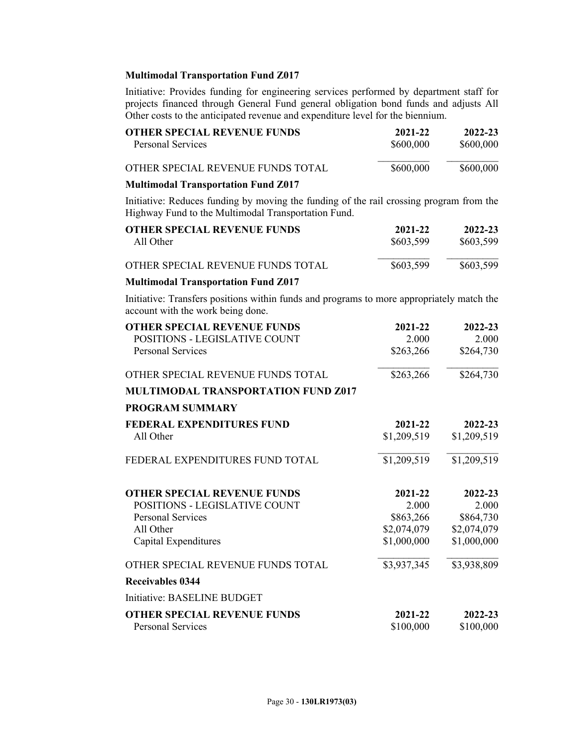## **Multimodal Transportation Fund Z017**

Initiative: Provides funding for engineering services performed by department staff for projects financed through General Fund general obligation bond funds and adjusts All Other costs to the anticipated revenue and expenditure level for the biennium.

| <b>OTHER SPECIAL REVENUE FUNDS</b>         | 2021-22   | 2022-23   |
|--------------------------------------------|-----------|-----------|
| <b>Personal Services</b>                   | \$600,000 | \$600,000 |
| OTHER SPECIAL REVENUE FUNDS TOTAL          | \$600,000 | \$600,000 |
| <b>Multimodal Transportation Fund Z017</b> |           |           |

Initiative: Reduces funding by moving the funding of the rail crossing program from the Highway Fund to the Multimodal Transportation Fund.

| <b>OTHER SPECIAL REVENUE FUNDS</b><br>All Other                                                                                | 2021-22<br>\$603,599 | 2022-23<br>\$603,599 |
|--------------------------------------------------------------------------------------------------------------------------------|----------------------|----------------------|
|                                                                                                                                |                      |                      |
| OTHER SPECIAL REVENUE FUNDS TOTAL                                                                                              | \$603,599            | \$603,599            |
| <b>Multimodal Transportation Fund Z017</b>                                                                                     |                      |                      |
| Initiative: Transfers positions within funds and programs to more appropriately match the<br>account with the work being done. |                      |                      |
| <b>OTHER SPECIAL REVENUE FUNDS</b>                                                                                             | 2021-22              | 2022-23              |
| POSITIONS - LEGISLATIVE COUNT                                                                                                  | 2.000                | 2.000                |
| Personal Services                                                                                                              | \$263,266            | \$264,730            |

# OTHER SPECIAL REVENUE FUNDS TOTAL \$263,266 \$264,730 **MULTIMODAL TRANSPORTATION FUND Z017 PROGRAM SUMMARY**

| <b>FEDERAL EXPENDITURES FUND</b>   | 2021-22     | 2022-23     |
|------------------------------------|-------------|-------------|
| All Other                          | \$1,209,519 | \$1,209,519 |
| FEDERAL EXPENDITURES FUND TOTAL    | \$1,209,519 | \$1,209,519 |
| <b>OTHER SPECIAL REVENUE FUNDS</b> | 2021-22     | 2022-23     |
| POSITIONS - LEGISLATIVE COUNT      | 2.000       | 2.000       |
| <b>Personal Services</b>           | \$863,266   | \$864,730   |
| All Other                          | \$2,074,079 | \$2,074,079 |
| Capital Expenditures               | \$1,000,000 | \$1,000,000 |
| OTHER SPECIAL REVENUE FUNDS TOTAL  | \$3,937,345 | \$3,938,809 |
| Receivables 0344                   |             |             |
| Initiative: BASELINE BUDGET        |             |             |
| <b>OTHER SPECIAL REVENUE FUNDS</b> | 2021-22     | 2022-23     |
| <b>Personal Services</b>           | \$100,000   | \$100,000   |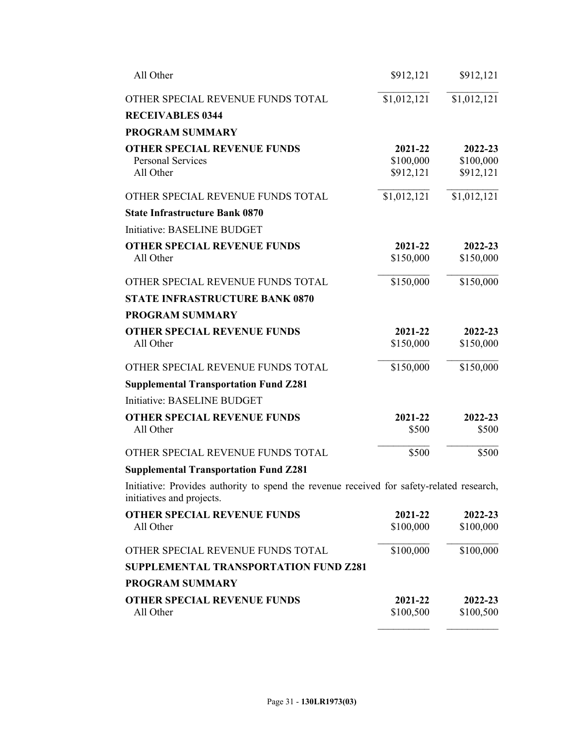| All Other                                                                                                              | \$912,121   | \$912,121   |
|------------------------------------------------------------------------------------------------------------------------|-------------|-------------|
| OTHER SPECIAL REVENUE FUNDS TOTAL<br><b>RECEIVABLES 0344</b>                                                           | \$1,012,121 | \$1,012,121 |
| <b>PROGRAM SUMMARY</b>                                                                                                 |             |             |
| <b>OTHER SPECIAL REVENUE FUNDS</b>                                                                                     | 2021-22     | 2022-23     |
| <b>Personal Services</b>                                                                                               | \$100,000   | \$100,000   |
| All Other                                                                                                              | \$912,121   | \$912,121   |
| OTHER SPECIAL REVENUE FUNDS TOTAL                                                                                      | \$1,012,121 | \$1,012,121 |
| <b>State Infrastructure Bank 0870</b>                                                                                  |             |             |
| Initiative: BASELINE BUDGET                                                                                            |             |             |
| <b>OTHER SPECIAL REVENUE FUNDS</b>                                                                                     | 2021-22     | 2022-23     |
| All Other                                                                                                              | \$150,000   | \$150,000   |
| OTHER SPECIAL REVENUE FUNDS TOTAL                                                                                      | \$150,000   | \$150,000   |
| <b>STATE INFRASTRUCTURE BANK 0870</b>                                                                                  |             |             |
| <b>PROGRAM SUMMARY</b>                                                                                                 |             |             |
| <b>OTHER SPECIAL REVENUE FUNDS</b>                                                                                     | 2021-22     | 2022-23     |
| All Other                                                                                                              | \$150,000   | \$150,000   |
| OTHER SPECIAL REVENUE FUNDS TOTAL                                                                                      | \$150,000   | \$150,000   |
| <b>Supplemental Transportation Fund Z281</b>                                                                           |             |             |
| Initiative: BASELINE BUDGET                                                                                            |             |             |
| <b>OTHER SPECIAL REVENUE FUNDS</b>                                                                                     | 2021-22     | 2022-23     |
| All Other                                                                                                              | \$500       | \$500       |
| OTHER SPECIAL REVENUE FUNDS TOTAL                                                                                      | \$500       | \$500       |
| <b>Supplemental Transportation Fund Z281</b>                                                                           |             |             |
| Initiative: Provides authority to spend the revenue received for safety-related research,<br>initiatives and projects. |             |             |
| <b>OTHER SPECIAL REVENUE FUNDS</b>                                                                                     | 2021-22     | 2022-23     |
| All Other                                                                                                              | \$100,000   | \$100,000   |
| OTHER SPECIAL REVENUE FUNDS TOTAL                                                                                      | \$100,000   | \$100,000   |
| SUPPLEMENTAL TRANSPORTATION FUND Z281                                                                                  |             |             |
| <b>PROGRAM SUMMARY</b>                                                                                                 |             |             |
| <b>OTHER SPECIAL REVENUE FUNDS</b>                                                                                     | 2021-22     | 2022-23     |
| All Other                                                                                                              | \$100,500   | \$100,500   |

 $\mathcal{L}_\text{max}$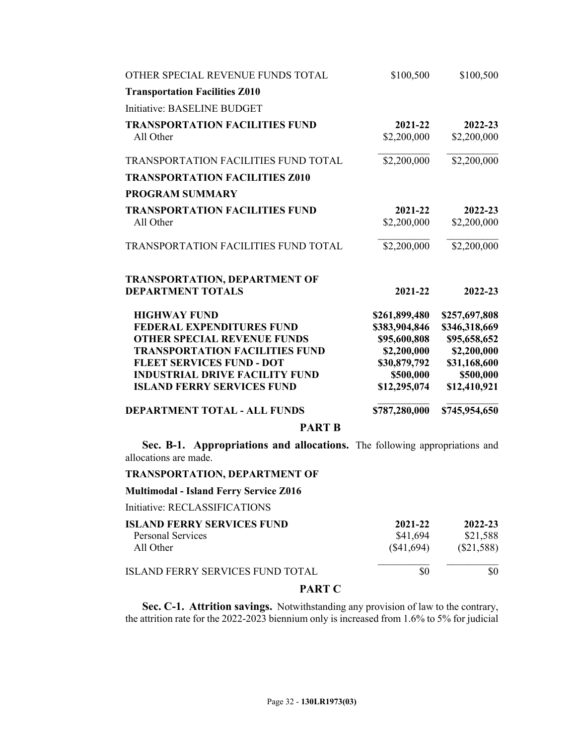| <b>PART B</b>                                      |                        |                        |
|----------------------------------------------------|------------------------|------------------------|
| <b>DEPARTMENT TOTAL - ALL FUNDS</b>                | \$787,280,000          | \$745,954,650          |
| <b>ISLAND FERRY SERVICES FUND</b>                  | \$12,295,074           | \$12,410,921           |
| <b>INDUSTRIAL DRIVE FACILITY FUND</b>              | \$500,000              | \$500,000              |
| <b>FLEET SERVICES FUND - DOT</b>                   | \$30,879,792           | \$31,168,600           |
| <b>TRANSPORTATION FACILITIES FUND</b>              | \$2,200,000            | \$2,200,000            |
| <b>OTHER SPECIAL REVENUE FUNDS</b>                 | \$95,600,808           | \$95,658,652           |
| <b>FEDERAL EXPENDITURES FUND</b>                   | \$383,904,846          | \$346,318,669          |
| <b>HIGHWAY FUND</b>                                | \$261,899,480          | \$257,697,808          |
| <b>DEPARTMENT TOTALS</b>                           | 2021-22                | 2022-23                |
| <b>TRANSPORTATION, DEPARTMENT OF</b>               |                        |                        |
| <b>TRANSPORTATION FACILITIES FUND TOTAL</b>        | \$2,200,000            | \$2,200,000            |
| All Other                                          | \$2,200,000            | \$2,200,000            |
| <b>TRANSPORTATION FACILITIES FUND</b>              | 2021-22                | 2022-23                |
| <b>PROGRAM SUMMARY</b>                             |                        |                        |
| <b>TRANSPORTATION FACILITIES Z010</b>              |                        |                        |
| <b>TRANSPORTATION FACILITIES FUND TOTAL</b>        | \$2,200,000            | \$2,200,000            |
| <b>TRANSPORTATION FACILITIES FUND</b><br>All Other | 2021-22<br>\$2,200,000 | 2022-23<br>\$2,200,000 |
| Initiative: BASELINE BUDGET                        |                        |                        |
| <b>Transportation Facilities Z010</b>              |                        |                        |
| OTHER SPECIAL REVENUE FUNDS TOTAL                  | \$100,500              | \$100,500              |
|                                                    |                        |                        |

**Sec. B-1. Appropriations and allocations.** The following appropriations and allocations are made.

## **TRANSPORTATION, DEPARTMENT OF**

**Multimodal - Island Ferry Service Z016**

Initiative: RECLASSIFICATIONS

| <b>ISLAND FERRY SERVICES FUND</b>       | 2021-22    | 2022-23      |
|-----------------------------------------|------------|--------------|
| <b>Personal Services</b>                | \$41,694   | \$21,588     |
| All Other                               | (\$41,694) | $(\$21,588)$ |
| <b>ISLAND FERRY SERVICES FUND TOTAL</b> | \$0        | \$0          |
| -----                                   |            |              |

## **PART C**

**Sec. C-1. Attrition savings.** Notwithstanding any provision of law to the contrary, the attrition rate for the 2022-2023 biennium only is increased from 1.6% to 5% for judicial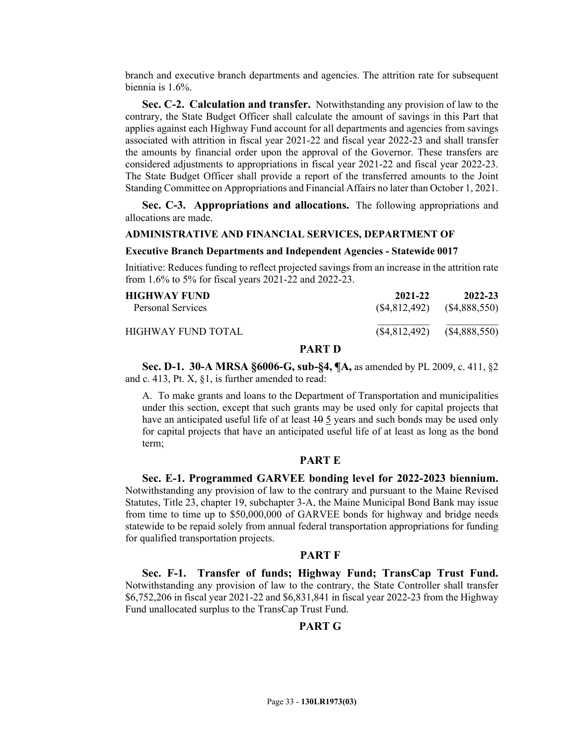branch and executive branch departments and agencies. The attrition rate for subsequent biennia is 1.6%.

**Sec. C-2. Calculation and transfer.** Notwithstanding any provision of law to the contrary, the State Budget Officer shall calculate the amount of savings in this Part that applies against each Highway Fund account for all departments and agencies from savings associated with attrition in fiscal year 2021-22 and fiscal year 2022-23 and shall transfer the amounts by financial order upon the approval of the Governor. These transfers are considered adjustments to appropriations in fiscal year 2021-22 and fiscal year 2022-23. The State Budget Officer shall provide a report of the transferred amounts to the Joint Standing Committee on Appropriations and Financial Affairs no later than October 1, 2021.

**Sec. C-3. Appropriations and allocations.** The following appropriations and allocations are made.

## **ADMINISTRATIVE AND FINANCIAL SERVICES, DEPARTMENT OF**

## **Executive Branch Departments and Independent Agencies - Statewide 0017**

Initiative: Reduces funding to reflect projected savings from an increase in the attrition rate from 1.6% to 5% for fiscal years 2021-22 and 2022-23.

| HIGHWAY FUND-       | 2021-22        | 2022-23       |
|---------------------|----------------|---------------|
| Personal Services   | (S4, 812, 492) | (S4,888,550)  |
| HIGHWAY FUND TOTAL. | (\$4,812,492)  | (\$4,888,550) |

## **PART D**

**Sec. D-1. 30-A MRSA §6006-G, sub-§4, ¶A,** as amended by PL 2009, c. 411, §2 and c. 413, Pt. X, §1, is further amended to read:

A. To make grants and loans to the Department of Transportation and municipalities under this section, except that such grants may be used only for capital projects that have an anticipated useful life of at least  $\frac{10}{9}$  years and such bonds may be used only for capital projects that have an anticipated useful life of at least as long as the bond term;

## **PART E**

**Sec. E-1. Programmed GARVEE bonding level for 2022-2023 biennium.** Notwithstanding any provision of law to the contrary and pursuant to the Maine Revised Statutes, Title 23, chapter 19, subchapter 3-A, the Maine Municipal Bond Bank may issue from time to time up to \$50,000,000 of GARVEE bonds for highway and bridge needs statewide to be repaid solely from annual federal transportation appropriations for funding for qualified transportation projects.

### **PART F**

**Sec. F-1. Transfer of funds; Highway Fund; TransCap Trust Fund.** Notwithstanding any provision of law to the contrary, the State Controller shall transfer \$6,752,206 in fiscal year 2021-22 and \$6,831,841 in fiscal year 2022-23 from the Highway Fund unallocated surplus to the TransCap Trust Fund.

## **PART G**